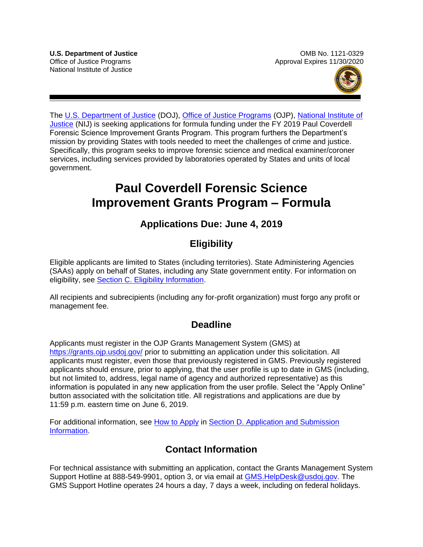

The [U.S. Department of Justice](https://www.usdoj.gov/) (DOJ), [Office of Justice Programs](https://www.ojp.usdoj.gov/) (OJP), National Institute of [Justice](http://nij.gov/Pages/welcome.aspx) (NIJ) is seeking applications for formula funding under the FY 2019 Paul Coverdell Forensic Science Improvement Grants Program. This program furthers the Department's mission by providing States with tools needed to meet the challenges of crime and justice. Specifically, this program seeks to improve forensic science and medical examiner/coroner services, including services provided by laboratories operated by States and units of local government.

# **Paul Coverdell Forensic Science Improvement Grants Program – Formula**

# **Applications Due: June 4, 2019**

# **Eligibility**

Eligible applicants are limited to States (including territories). State Administering Agencies (SAAs) apply on behalf of States, including any State government entity. For information on eligibility, see [Section C. Eligibility Information.](#page-11-0)

All recipients and subrecipients (including any for-profit organization) must forgo any profit or management fee.

# **Deadline**

Applicants must register in the OJP Grants Management System (GMS) at <https://grants.ojp.usdoj.gov/>prior to submitting an application under this solicitation. All applicants must register, even those that previously registered in GMS. Previously registered applicants should ensure, prior to applying, that the user profile is up to date in GMS (including, but not limited to, address, legal name of agency and authorized representative) as this information is populated in any new application from the user profile. Select the "Apply Online" button associated with the solicitation title. All registrations and applications are due by 11:59 p.m. eastern time on June 6, 2019.

For additional information, see [How to Apply](#page-30-0) in Section D. Application and Submission [Information.](#page-17-0)

# **Contact Information**

For technical assistance with submitting an application, contact the Grants Management System Support Hotline at 888-549-9901, option 3, or via email at [GMS.HelpDesk@usdoj.gov.](mailto:GMS.HelpDesk@usdoj.gov) The GMS Support Hotline operates 24 hours a day, 7 days a week, including on federal holidays.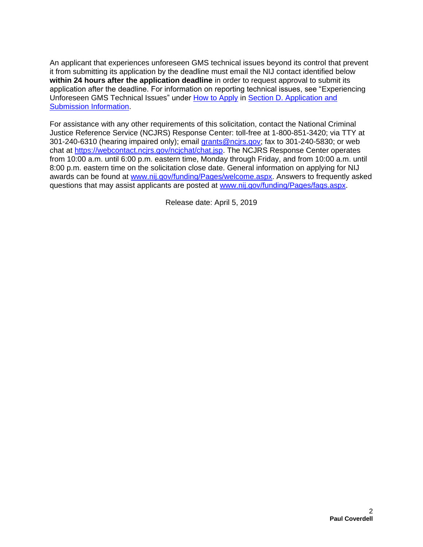An applicant that experiences unforeseen GMS technical issues beyond its control that prevent it from submitting its application by the deadline must email the NIJ contact identified below **within 24 hours after the application deadline** in order to request approval to submit its application after the deadline. For information on reporting technical issues, see "Experiencing Unforeseen GMS Technical Issues" under [How to Apply](#page-30-0) in [Section D. Application and](#page-17-0)  [Submission Information.](#page-17-0)

For assistance with any other requirements of this solicitation, contact the National Criminal Justice Reference Service (NCJRS) Response Center: toll-free at 1-800-851-3420; via TTY at 301-240-6310 (hearing impaired only); email [grants@ncjrs.gov;](mailto:grants@ncjrs.gov) fax to 301-240-5830; or web chat at https://webcontact.ncjrs.gov/ncjchat/chat.jsp</u>. The NCJRS Response Center operates from 10:00 a.m. until 6:00 p.m. eastern time, Monday through Friday, and from 10:00 a.m. until 8:00 p.m. eastern time on the solicitation close date. General information on applying for NIJ awards can be found at [www.nij.gov/funding/Pages/welcome.aspx.](http://www.nij.gov/funding/Pages/welcome.aspx) Answers to frequently asked questions that may assist applicants are posted at [www.nij.gov/funding/Pages/faqs.aspx.](http://www.nij.gov/funding/Pages/faqs.aspx)

Release date: April 5, 2019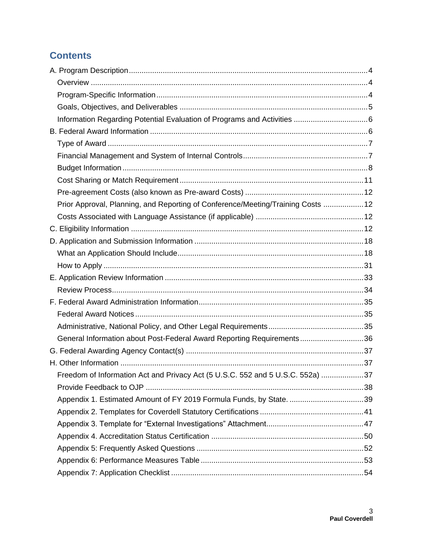# **Contents**

| Prior Approval, Planning, and Reporting of Conference/Meeting/Training Costs  12 |  |
|----------------------------------------------------------------------------------|--|
|                                                                                  |  |
|                                                                                  |  |
|                                                                                  |  |
|                                                                                  |  |
|                                                                                  |  |
|                                                                                  |  |
|                                                                                  |  |
|                                                                                  |  |
|                                                                                  |  |
|                                                                                  |  |
| General Information about Post-Federal Award Reporting Requirements36            |  |
|                                                                                  |  |
|                                                                                  |  |
| Freedom of Information Act and Privacy Act (5 U.S.C. 552 and 5 U.S.C. 552a) 37   |  |
|                                                                                  |  |
|                                                                                  |  |
|                                                                                  |  |
|                                                                                  |  |
|                                                                                  |  |
|                                                                                  |  |
|                                                                                  |  |
|                                                                                  |  |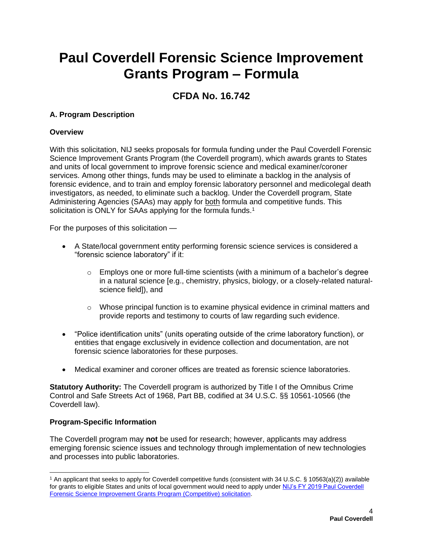# **Paul Coverdell Forensic Science Improvement Grants Program – Formula**

# **CFDA No. 16.742**

# <span id="page-3-0"></span>**A. Program Description**

# <span id="page-3-1"></span>**Overview**

With this solicitation, NIJ seeks proposals for formula funding under the Paul Coverdell Forensic Science Improvement Grants Program (the Coverdell program), which awards grants to States and units of local government to improve forensic science and medical examiner/coroner services. Among other things, funds may be used to eliminate a backlog in the analysis of forensic evidence, and to train and employ forensic laboratory personnel and medicolegal death investigators, as needed, to eliminate such a backlog. Under the Coverdell program, State Administering Agencies (SAAs) may apply for both formula and competitive funds. This solicitation is ONLY for SAAs applying for the formula funds.<sup>1</sup>

For the purposes of this solicitation —

- A State/local government entity performing forensic science services is considered a "forensic science laboratory" if it:
	- $\circ$  Employs one or more full-time scientists (with a minimum of a bachelor's degree in a natural science [e.g., chemistry, physics, biology, or a closely-related naturalscience field]), and
	- o Whose principal function is to examine physical evidence in criminal matters and provide reports and testimony to courts of law regarding such evidence.
- "Police identification units" (units operating outside of the crime laboratory function), or entities that engage exclusively in evidence collection and documentation, are not forensic science laboratories for these purposes.
- Medical examiner and coroner offices are treated as forensic science laboratories.

**Statutory Authority:** The Coverdell program is authorized by Title I of the Omnibus Crime Control and Safe Streets Act of 1968, Part BB, codified at 34 U.S.C. §§ 10561-10566 (the Coverdell law).

# <span id="page-3-2"></span>**Program-Specific Information**

The Coverdell program may **not** be used for research; however, applicants may address emerging forensic science issues and technology through implementation of new technologies and processes into public laboratories.

<sup>1</sup> An applicant that seeks to apply for Coverdell competitive funds (consistent with 34 U.S.C. § 10563(a)(2)) available for grants to eligible States and units of local government would need to apply under [NIJ's FY 2019 Paul Coverdell](https://nij.gov/funding/Documents/solicitations/NIJ-2019-15504.pdf)  [Forensic Science Improvement Grants Program \(Competitive\) solicitation.](https://nij.gov/funding/Documents/solicitations/NIJ-2019-15504.pdf)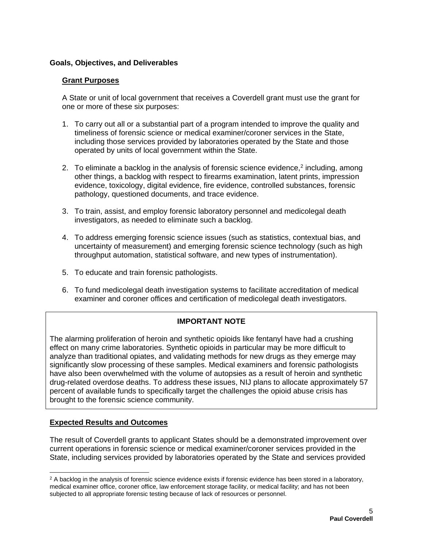## <span id="page-4-0"></span>**Goals, Objectives, and Deliverables**

## **Grant Purposes**

A State or unit of local government that receives a Coverdell grant must use the grant for one or more of these six purposes:

- 1. To carry out all or a substantial part of a program intended to improve the quality and timeliness of forensic science or medical examiner/coroner services in the State, including those services provided by laboratories operated by the State and those operated by units of local government within the State.
- 2. To eliminate a backlog in the analysis of forensic science evidence, $2$  including, among other things, a backlog with respect to firearms examination, latent prints, impression evidence, toxicology, digital evidence, fire evidence, controlled substances, forensic pathology, questioned documents, and trace evidence.
- 3. To train, assist, and employ forensic laboratory personnel and medicolegal death investigators, as needed to eliminate such a backlog.
- 4. To address emerging forensic science issues (such as statistics, contextual bias, and uncertainty of measurement) and emerging forensic science technology (such as high throughput automation, statistical software, and new types of instrumentation).
- 5. To educate and train forensic pathologists.
- 6. To fund medicolegal death investigation systems to facilitate accreditation of medical examiner and coroner offices and certification of medicolegal death investigators.

# **IMPORTANT NOTE**

The alarming proliferation of heroin and synthetic opioids like fentanyl have had a crushing effect on many crime laboratories. Synthetic opioids in particular may be more difficult to analyze than traditional opiates, and validating methods for new drugs as they emerge may significantly slow processing of these samples. Medical examiners and forensic pathologists have also been overwhelmed with the volume of autopsies as a result of heroin and synthetic drug-related overdose deaths. To address these issues, NIJ plans to allocate approximately 57 percent of available funds to specifically target the challenges the opioid abuse crisis has brought to the forensic science community.

# **Expected Results and Outcomes**

The result of Coverdell grants to applicant States should be a demonstrated improvement over current operations in forensic science or medical examiner/coroner services provided in the State, including services provided by laboratories operated by the State and services provided

 $2$  A backlog in the analysis of forensic science evidence exists if forensic evidence has been stored in a laboratory, medical examiner office, coroner office, law enforcement storage facility, or medical facility; and has not been subjected to all appropriate forensic testing because of lack of resources or personnel.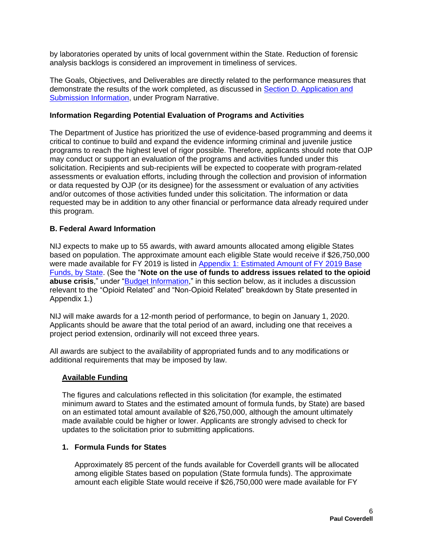by laboratories operated by units of local government within the State. Reduction of forensic analysis backlogs is considered an improvement in timeliness of services.

The Goals, Objectives, and Deliverables are directly related to the performance measures that demonstrate the results of the work completed, as discussed in [Section D. Application and](#page-17-0)  [Submission Information,](#page-17-0) under Program Narrative.

## <span id="page-5-0"></span>**Information Regarding Potential Evaluation of Programs and Activities**

The Department of Justice has prioritized the use of evidence-based programming and deems it critical to continue to build and expand the evidence informing criminal and juvenile justice programs to reach the highest level of rigor possible. Therefore, applicants should note that OJP may conduct or support an evaluation of the programs and activities funded under this solicitation. Recipients and sub-recipients will be expected to cooperate with program-related assessments or evaluation efforts, including through the collection and provision of information or data requested by OJP (or its designee) for the assessment or evaluation of any activities and/or outcomes of those activities funded under this solicitation. The information or data requested may be in addition to any other financial or performance data already required under this program.

# <span id="page-5-1"></span>**B. Federal Award Information**

NIJ expects to make up to 55 awards, with award amounts allocated among eligible States based on population. The approximate amount each eligible State would receive if \$26,750,000 were made available for FY 2019 is listed in [Appendix 1: Estimated Amount of FY 2019 Base](#page-37-1)  [Funds, by State.](#page-37-1) (See the "**Note on the use of funds to address issues related to the opioid**  abuse crisis," under "**Budget Information**," in this section below, as it includes a discussion relevant to the "Opioid Related" and "Non-Opioid Related" breakdown by State presented in Appendix 1.)

NIJ will make awards for a 12-month period of performance, to begin on January 1, 2020. Applicants should be aware that the total period of an award, including one that receives a project period extension, ordinarily will not exceed three years.

All awards are subject to the availability of appropriated funds and to any modifications or additional requirements that may be imposed by law.

# <span id="page-5-2"></span>**Available Funding**

The figures and calculations reflected in this solicitation (for example, the estimated minimum award to States and the estimated amount of formula funds, by State) are based on an estimated total amount available of \$26,750,000, although the amount ultimately made available could be higher or lower. Applicants are strongly advised to check for updates to the solicitation prior to submitting applications.

#### **1. Formula Funds for States**

Approximately 85 percent of the funds available for Coverdell grants will be allocated among eligible States based on population (State formula funds). The approximate amount each eligible State would receive if \$26,750,000 were made available for FY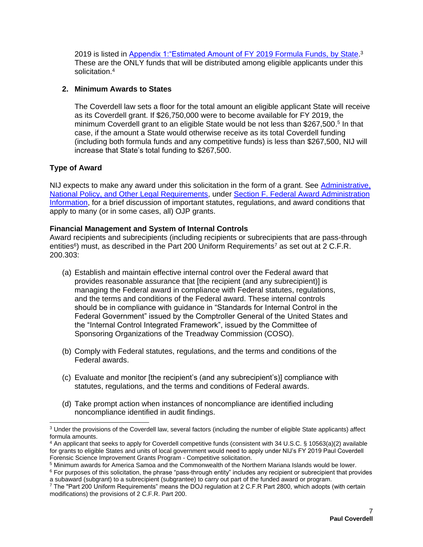2019 is listed in Appendix 1: Estimated Amount of FY 2019 Formula Funds, by State.<sup>3</sup> These are the ONLY funds that will be distributed among eligible applicants under this solicitation.<sup>4</sup>

## **2. Minimum Awards to States**

The Coverdell law sets a floor for the total amount an eligible applicant State will receive as its Coverdell grant. If \$26,750,000 were to become available for FY 2019, the minimum Coverdell grant to an eligible State would be not less than \$267,500.<sup>5</sup> In that case, if the amount a State would otherwise receive as its total Coverdell funding (including both formula funds and any competitive funds) is less than \$267,500, NIJ will increase that State's total funding to \$267,500.

# <span id="page-6-0"></span>**Type of Award**

NIJ expects to make any award under this solicitation in the form of a grant. See [Administrative,](#page-34-2)  [National Policy, and Other Legal Requirements,](#page-34-2) under [Section F. Federal Award Administration](#page-34-0)  [Information,](#page-34-0) for a brief discussion of important statutes, regulations, and award conditions that apply to many (or in some cases, all) OJP grants.

# <span id="page-6-1"></span>**Financial Management and System of Internal Controls**

Award recipients and subrecipients (including recipients or subrecipients that are pass-through entities<sup>6</sup>) must, as described in the Part 200 Uniform Requirements<sup>7</sup> as set out at 2 C.F.R. 200.303:

- (a) Establish and maintain effective internal control over the Federal award that provides reasonable assurance that [the recipient (and any subrecipient)] is managing the Federal award in compliance with Federal statutes, regulations, and the terms and conditions of the Federal award. These internal controls should be in compliance with guidance in "Standards for Internal Control in the Federal Government" issued by the Comptroller General of the United States and the "Internal Control Integrated Framework", issued by the Committee of Sponsoring Organizations of the Treadway Commission (COSO).
- (b) Comply with Federal statutes, regulations, and the terms and conditions of the Federal awards.
- (c) Evaluate and monitor [the recipient's (and any subrecipient's)] compliance with statutes, regulations, and the terms and conditions of Federal awards.
- (d) Take prompt action when instances of noncompliance are identified including noncompliance identified in audit findings.

 $\overline{a}$ <sup>3</sup> Under the provisions of the Coverdell law, several factors (including the number of eligible State applicants) affect formula amounts.

<sup>4</sup> An applicant that seeks to apply for Coverdell competitive funds (consistent with 34 U.S.C. § 10563(a)(2) available for grants to eligible States and units of local government would need to apply under NIJ's FY 2019 Paul Coverdell Forensic Science Improvement Grants Program - Competitive solicitation.

<sup>&</sup>lt;sup>5</sup> Minimum awards for America Samoa and the Commonwealth of the Northern Mariana Islands would be lower.

<sup>&</sup>lt;sup>6</sup> For purposes of this solicitation, the phrase "pass-through entity" includes any recipient or subrecipient that provides a subaward (subgrant) to a subrecipient (subgrantee) to carry out part of the funded award or program.

<sup>7</sup> The "Part 200 Uniform Requirements" means the DOJ regulation at 2 C.F.R Part 2800, which adopts (with certain modifications) the provisions of 2 C.F.R. Part 200.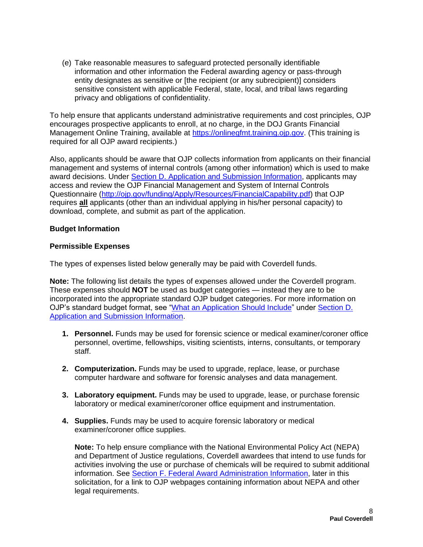(e) Take reasonable measures to safeguard protected personally identifiable information and other information the Federal awarding agency or pass-through entity designates as sensitive or [the recipient (or any subrecipient)] considers sensitive consistent with applicable Federal, state, local, and tribal laws regarding privacy and obligations of confidentiality.

To help ensure that applicants understand administrative requirements and cost principles, OJP encourages prospective applicants to enroll, at no charge, in the DOJ Grants Financial Management Online Training, available at [https://onlinegfmt.training.ojp.gov.](https://onlinegfmt.training.ojp.gov/) (This training is required for all OJP award recipients.)

Also, applicants should be aware that OJP collects information from applicants on their financial management and systems of internal controls (among other information) which is used to make award decisions. Under [Section D. Application and Submission Information,](#page-17-0) applicants may access and review the OJP Financial Management and System of Internal Controls Questionnaire [\(http://ojp.gov/funding/Apply/Resources/FinancialCapability.pdf\)](http://ojp.gov/funding/Apply/Resources/FinancialCapability.pdf) that OJP requires **all** applicants (other than an individual applying in his/her personal capacity) to download, complete, and submit as part of the application.

#### <span id="page-7-0"></span>**Budget Information**

#### **Permissible Expenses**

The types of expenses listed below generally may be paid with Coverdell funds.

**Note:** The following list details the types of expenses allowed under the Coverdell program. These expenses should **NOT** be used as budget categories — instead they are to be incorporated into the appropriate standard OJP budget categories. For more information on OJP's standard budget format, see ["What an Application Should Include"](#page-17-1) under [Section D.](#page-17-0)  [Application and Submission Information.](#page-17-0)

- **1. Personnel.** Funds may be used for forensic science or medical examiner/coroner office personnel, overtime, fellowships, visiting scientists, interns, consultants, or temporary staff.
- **2. Computerization.** Funds may be used to upgrade, replace, lease, or purchase computer hardware and software for forensic analyses and data management.
- **3. Laboratory equipment.** Funds may be used to upgrade, lease, or purchase forensic laboratory or medical examiner/coroner office equipment and instrumentation.
- **4. Supplies.** Funds may be used to acquire forensic laboratory or medical examiner/coroner office supplies.

**Note:** To help ensure compliance with the National Environmental Policy Act (NEPA) and Department of Justice regulations, Coverdell awardees that intend to use funds for activities involving the use or purchase of chemicals will be required to submit additional information. See [Section F. Federal Award Administration Information,](#page-34-0) later in this solicitation, for a link to OJP webpages containing information about NEPA and other legal requirements.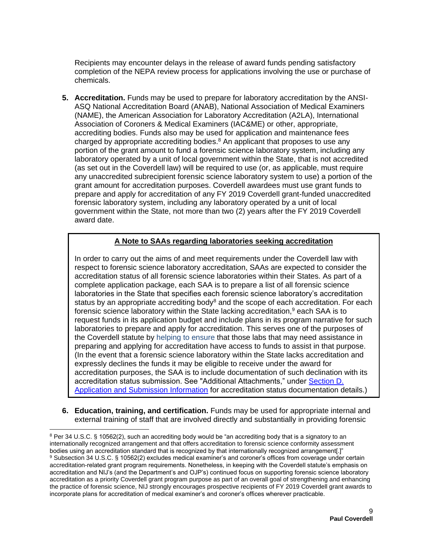Recipients may encounter delays in the release of award funds pending satisfactory completion of the NEPA review process for applications involving the use or purchase of chemicals.

**5. Accreditation.** Funds may be used to prepare for laboratory accreditation by the ANSI-ASQ National Accreditation Board (ANAB), National Association of Medical Examiners (NAME), the American Association for Laboratory Accreditation (A2LA), International Association of Coroners & Medical Examiners (IAC&ME) or other, appropriate, accrediting bodies. Funds also may be used for application and maintenance fees charged by appropriate accrediting bodies. $8$  An applicant that proposes to use any portion of the grant amount to fund a forensic science laboratory system, including any laboratory operated by a unit of local government within the State, that is not accredited (as set out in the Coverdell law) will be required to use (or, as applicable, must require any unaccredited subrecipient forensic science laboratory system to use) a portion of the grant amount for accreditation purposes. Coverdell awardees must use grant funds to prepare and apply for accreditation of any FY 2019 Coverdell grant-funded unaccredited forensic laboratory system, including any laboratory operated by a unit of local government within the State, not more than two (2) years after the FY 2019 Coverdell award date.

# <span id="page-8-0"></span>**A Note to SAAs regarding laboratories seeking accreditation**

In order to carry out the aims of and meet requirements under the Coverdell law with respect to forensic science laboratory accreditation, SAAs are expected to consider the accreditation status of all forensic science laboratories within their States. As part of a complete application package, each SAA is to prepare a list of all forensic science laboratories in the State that specifies each forensic science laboratory's accreditation status by an appropriate accrediting body $8$  and the scope of each accreditation. For each forensic science laboratory within the State lacking accreditation,<sup>9</sup> each SAA is to request funds in its application budget and include plans in its program narrative for such laboratories to prepare and apply for accreditation. This serves one of the purposes of the Coverdell statute by helping to ensure that those labs that may need assistance in preparing and applying for accreditation have access to funds to assist in that purpose. (In the event that a forensic science laboratory within the State lacks accreditation and expressly declines the funds it may be eligible to receive under the award for accreditation purposes, the SAA is to include documentation of such declination with its accreditation status submission. See "Additional Attachments," under [Section D.](#page-17-0)  [Application and Submission Information](#page-17-0) for accreditation status documentation details.)

**6. Education, training, and certification.** Funds may be used for appropriate internal and external training of staff that are involved directly and substantially in providing forensic

<sup>&</sup>lt;sup>8</sup> Per 34 U.S.C. § 10562(2), such an accrediting body would be "an accrediting body that is a signatory to an internationally recognized arrangement and that offers accreditation to forensic science conformity assessment bodies using an accreditation standard that is recognized by that internationally recognized arrangement[.]" <sup>9</sup> Subsection 34 U.S.C. § 10562(2) excludes medical examiner's and coroner's offices from coverage under certain accreditation-related grant program requirements. Nonetheless, in keeping with the Coverdell statute's emphasis on accreditation and NIJ's (and the Department's and OJP's) continued focus on supporting forensic science laboratory accreditation as a priority Coverdell grant program purpose as part of an overall goal of strengthening and enhancing the practice of forensic science, NIJ strongly encourages prospective recipients of FY 2019 Coverdell grant awards to incorporate plans for accreditation of medical examiner's and coroner's offices wherever practicable.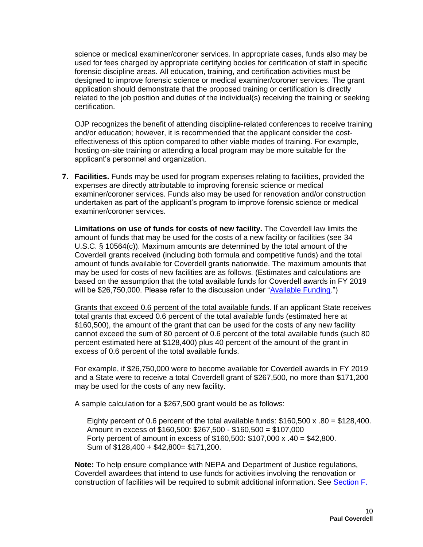science or medical examiner/coroner services. In appropriate cases, funds also may be used for fees charged by appropriate certifying bodies for certification of staff in specific forensic discipline areas. All education, training, and certification activities must be designed to improve forensic science or medical examiner/coroner services. The grant application should demonstrate that the proposed training or certification is directly related to the job position and duties of the individual(s) receiving the training or seeking certification.

OJP recognizes the benefit of attending discipline-related conferences to receive training and/or education; however, it is recommended that the applicant consider the costeffectiveness of this option compared to other viable modes of training. For example, hosting on-site training or attending a local program may be more suitable for the applicant's personnel and organization.

**7. Facilities.** Funds may be used for program expenses relating to facilities, provided the expenses are directly attributable to improving forensic science or medical examiner/coroner services. Funds also may be used for renovation and/or construction undertaken as part of the applicant's program to improve forensic science or medical examiner/coroner services.

**Limitations on use of funds for costs of new facility.** The Coverdell law limits the amount of funds that may be used for the costs of a new facility or facilities (see 34 U.S.C. § 10564(c)). Maximum amounts are determined by the total amount of the Coverdell grants received (including both formula and competitive funds) and the total amount of funds available for Coverdell grants nationwide. The maximum amounts that may be used for costs of new facilities are as follows. (Estimates and calculations are based on the assumption that the total available funds for Coverdell awards in FY 2019 will be \$26,750,000. Please refer to the discussion under ["Available Funding.](#page-5-2)")

Grants that exceed 0.6 percent of the total available funds. If an applicant State receives total grants that exceed 0.6 percent of the total available funds (estimated here at \$160,500), the amount of the grant that can be used for the costs of any new facility cannot exceed the sum of 80 percent of 0.6 percent of the total available funds (such 80 percent estimated here at \$128,400) plus 40 percent of the amount of the grant in excess of 0.6 percent of the total available funds.

For example, if \$26,750,000 were to become available for Coverdell awards in FY 2019 and a State were to receive a total Coverdell grant of \$267,500, no more than \$171,200 may be used for the costs of any new facility.

A sample calculation for a \$267,500 grant would be as follows:

Eighty percent of 0.6 percent of the total available funds:  $$160,500 \times .80 = $128,400$ . Amount in excess of \$160,500: \$267,500 - \$160,500 = \$107,000 Forty percent of amount in excess of \$160,500: \$107,000 x .40 = \$42,800. Sum of \$128,400 + \$42,800= \$171,200.

**Note:** To help ensure compliance with NEPA and Department of Justice regulations, Coverdell awardees that intend to use funds for activities involving the renovation or construction of facilities will be required to submit additional information. See [Section F.](#page-34-0)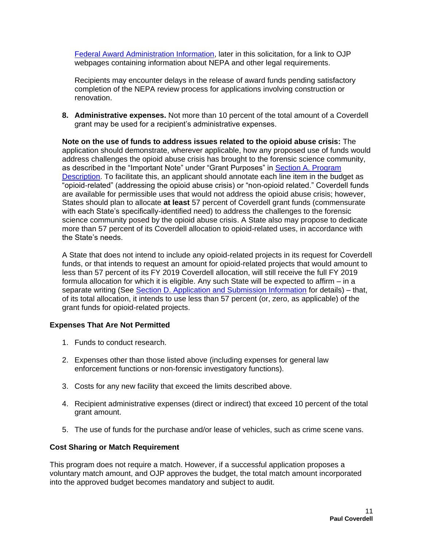[Federal Award Administration Information,](#page-34-0) later in this solicitation, for a link to OJP webpages containing information about NEPA and other legal requirements.

Recipients may encounter delays in the release of award funds pending satisfactory completion of the NEPA review process for applications involving construction or renovation.

**8. Administrative expenses.** Not more than 10 percent of the total amount of a Coverdell grant may be used for a recipient's administrative expenses.

**Note on the use of funds to address issues related to the opioid abuse crisis:** The application should demonstrate, wherever applicable, how any proposed use of funds would address challenges the opioid abuse crisis has brought to the forensic science community, as described in the "Important Note" under "Grant Purposes" in Section A. Program [Description.](#page-3-0) To facilitate this, an applicant should annotate each line item in the budget as "opioid-related" (addressing the opioid abuse crisis) or "non-opioid related." Coverdell funds are available for permissible uses that would not address the opioid abuse crisis; however, States should plan to allocate **at least** 57 percent of Coverdell grant funds (commensurate with each State's specifically-identified need) to address the challenges to the forensic science community posed by the opioid abuse crisis. A State also may propose to dedicate more than 57 percent of its Coverdell allocation to opioid-related uses, in accordance with the State's needs.

A State that does not intend to include any opioid-related projects in its request for Coverdell funds, or that intends to request an amount for opioid-related projects that would amount to less than 57 percent of its FY 2019 Coverdell allocation, will still receive the full FY 2019 formula allocation for which it is eligible. Any such State will be expected to affirm – in a separate writing (See [Section D. Application and Submission Information](#page-17-0) for details) – that, of its total allocation, it intends to use less than 57 percent (or, zero, as applicable) of the grant funds for opioid-related projects.

#### **Expenses That Are Not Permitted**

- 1. Funds to conduct research.
- 2. Expenses other than those listed above (including expenses for general law enforcement functions or non-forensic investigatory functions).
- 3. Costs for any new facility that exceed the limits described above.
- 4. Recipient administrative expenses (direct or indirect) that exceed 10 percent of the total grant amount.
- 5. The use of funds for the purchase and/or lease of vehicles, such as crime scene vans.

#### <span id="page-10-0"></span>**Cost Sharing or Match Requirement**

This program does not require a match. However, if a successful application proposes a voluntary match amount, and OJP approves the budget, the total match amount incorporated into the approved budget becomes mandatory and subject to audit.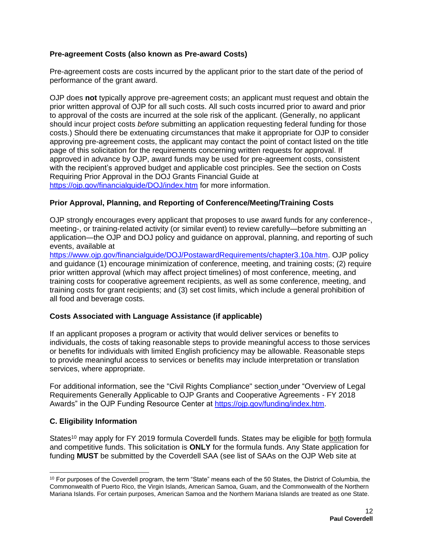# <span id="page-11-1"></span>**Pre-agreement Costs (also known as Pre-award Costs)**

Pre-agreement costs are costs incurred by the applicant prior to the start date of the period of performance of the grant award.

OJP does **not** typically approve pre-agreement costs; an applicant must request and obtain the prior written approval of OJP for all such costs. All such costs incurred prior to award and prior to approval of the costs are incurred at the sole risk of the applicant. (Generally, no applicant should incur project costs *before* submitting an application requesting federal funding for those costs.) Should there be extenuating circumstances that make it appropriate for OJP to consider approving pre-agreement costs, the applicant may contact the point of contact listed on the title page of this solicitation for the requirements concerning written requests for approval. If approved in advance by OJP, award funds may be used for pre-agreement costs, consistent with the recipient's approved budget and applicable cost principles. See the section on Costs Requiring Prior Approval in the DOJ Grants Financial Guide at <https://ojp.gov/financialguide/DOJ/index.htm>for more information.

#### <span id="page-11-2"></span>**Prior Approval, Planning, and Reporting of Conference/Meeting/Training Costs**

OJP strongly encourages every applicant that proposes to use award funds for any conference-, meeting-, or training-related activity (or similar event) to review carefully—before submitting an application—the OJP and DOJ policy and guidance on approval, planning, and reporting of such events, available at

[https://www.ojp.gov/financialguide/DOJ/PostawardRequirements/chapter3.10a.htm.](https://www.ojp.gov/financialguide/DOJ/PostawardRequirements/chapter3.10a.htm) OJP policy and guidance (1) encourage minimization of conference, meeting, and training costs; (2) require prior written approval (which may affect project timelines) of most conference, meeting, and training costs for cooperative agreement recipients, as well as some conference, meeting, and training costs for grant recipients; and (3) set cost limits, which include a general prohibition of all food and beverage costs.

#### <span id="page-11-3"></span>**Costs Associated with Language Assistance (if applicable)**

If an applicant proposes a program or activity that would deliver services or benefits to individuals, the costs of taking reasonable steps to provide meaningful access to those services or benefits for individuals with limited English proficiency may be allowable. Reasonable steps to provide meaningful access to services or benefits may include interpretation or translation services, where appropriate.

For additional information, see the "Civil Rights Compliance" section under "Overview of Legal Requirements Generally Applicable to OJP Grants and Cooperative Agreements - FY 2018 Awards" in the OJP Funding Resource Center at [https://ojp.gov/funding/index.htm.](https://ojp.gov/funding/index.htm)

# <span id="page-11-0"></span>**C. Eligibility Information**

States<sup>10</sup> may apply for FY 2019 formula Coverdell funds. States may be eligible for both formula and competitive funds. This solicitation is **ONLY** for the formula funds. Any State application for funding **MUST** be submitted by the Coverdell SAA (see list of SAAs on the OJP Web site at

<sup>&</sup>lt;sup>10</sup> For purposes of the Coverdell program, the term "State" means each of the 50 States, the District of Columbia, the Commonwealth of Puerto Rico, the Virgin Islands, American Samoa, Guam, and the Commonwealth of the Northern Mariana Islands. For certain purposes, American Samoa and the Northern Mariana Islands are treated as one State.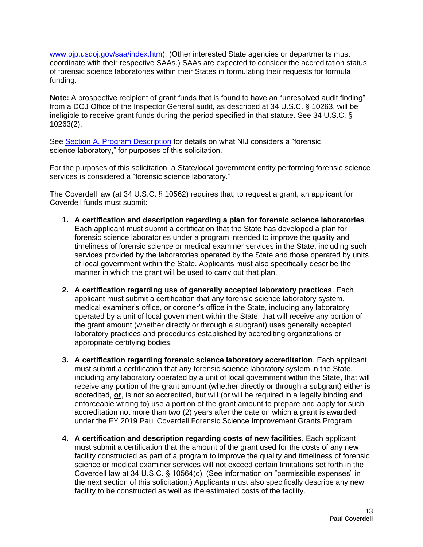[www.ojp.usdoj.gov/saa/index.htm\)](http://www.ojp.usdoj.gov/saa/index.htm). (Other interested State agencies or departments must coordinate with their respective SAAs.) SAAs are expected to consider the accreditation status of forensic science laboratories within their States in formulating their requests for formula funding.

**Note:** A prospective recipient of grant funds that is found to have an "unresolved audit finding" from a DOJ Office of the Inspector General audit, as described at 34 U.S.C. § 10263, will be ineligible to receive grant funds during the period specified in that statute. See 34 U.S.C. § 10263(2).

See [Section A. Program Description](#page-3-0) for details on what NIJ considers a "forensic science laboratory," for purposes of this solicitation.

For the purposes of this solicitation, a State/local government entity performing forensic science services is considered a "forensic science laboratory."

The Coverdell law (at 34 U.S.C. § 10562) requires that, to request a grant, an applicant for Coverdell funds must submit:

- **1. A certification and description regarding a plan for forensic science laboratories***.* Each applicant must submit a certification that the State has developed a plan for forensic science laboratories under a program intended to improve the quality and timeliness of forensic science or medical examiner services in the State, including such services provided by the laboratories operated by the State and those operated by units of local government within the State. Applicants must also specifically describe the manner in which the grant will be used to carry out that plan.
- **2. A certification regarding use of generally accepted laboratory practices**. Each applicant must submit a certification that any forensic science laboratory system, medical examiner's office, or coroner's office in the State, including any laboratory operated by a unit of local government within the State, that will receive any portion of the grant amount (whether directly or through a subgrant) uses generally accepted laboratory practices and procedures established by accrediting organizations or appropriate certifying bodies.
- **3. A certification regarding forensic science laboratory accreditation**. Each applicant must submit a certification that any forensic science laboratory system in the State, including any laboratory operated by a unit of local government within the State, that will receive any portion of the grant amount (whether directly or through a subgrant) either is accredited, **or**, is not so accredited, but will (or will be required in a legally binding and enforceable writing to) use a portion of the grant amount to prepare and apply for such accreditation not more than two (2) years after the date on which a grant is awarded under the FY 2019 Paul Coverdell Forensic Science Improvement Grants Program.
- **4. A certification and description regarding costs of new facilities**. Each applicant must submit a certification that the amount of the grant used for the costs of any new facility constructed as part of a program to improve the quality and timeliness of forensic science or medical examiner services will not exceed certain limitations set forth in the Coverdell law at 34 U.S.C. § 10564(c). (See information on "permissible expenses" in the next section of this solicitation.) Applicants must also specifically describe any new facility to be constructed as well as the estimated costs of the facility.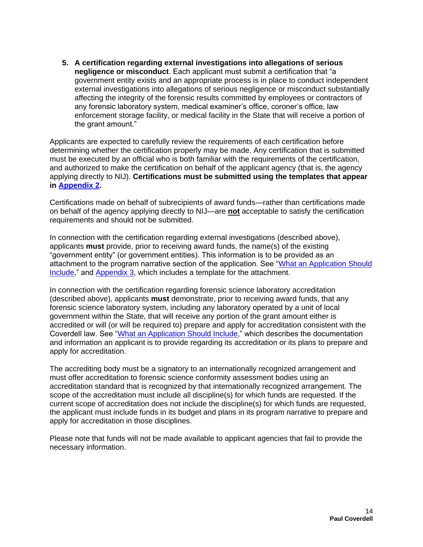**5. A certification regarding external investigations into allegations of serious negligence or misconduct**. Each applicant must submit a certification that "a government entity exists and an appropriate process is in place to conduct independent external investigations into allegations of serious negligence or misconduct substantially affecting the integrity of the forensic results committed by employees or contractors of any forensic laboratory system, medical examiner's office, coroner's office, law enforcement storage facility, or medical facility in the State that will receive a portion of the grant amount."

Applicants are expected to carefully review the requirements of each certification before determining whether the certification properly may be made. Any certification that is submitted must be executed by an official who is both familiar with the requirements of the certification, and authorized to make the certification on behalf of the applicant agency (that is, the agency applying directly to NIJ). **Certifications must be submitted using the templates that appear in [Appendix 2.](#page-39-0)**

Certifications made on behalf of subrecipients of award funds—rather than certifications made on behalf of the agency applying directly to NIJ—are **not** acceptable to satisfy the certification requirements and should not be submitted.

In connection with the certification regarding external investigations (described above), applicants **must** provide, prior to receiving award funds, the name(s) of the existing "government entity" (or government entities). This information is to be provided as an attachment to the program narrative section of the application. See ["What an Application Should](#page-17-1)  [Include,](#page-17-1)" and [Appendix 3,](#page-46-0) which includes a template for the attachment.

In connection with the certification regarding forensic science laboratory accreditation (described above), applicants **must** demonstrate, prior to receiving award funds, that any forensic science laboratory system, including any laboratory operated by a unit of local government within the State, that will receive any portion of the grant amount either is accredited or will (or will be required to) prepare and apply for accreditation consistent with the Coverdell law. See ["What an Application Should Include,](#page-17-1)" which describes the documentation and information an applicant is to provide regarding its accreditation or its plans to prepare and apply for accreditation.

The accrediting body must be a signatory to an internationally recognized arrangement and must offer accreditation to forensic science conformity assessment bodies using an accreditation standard that is recognized by that internationally recognized arrangement. The scope of the accreditation must include all discipline(s) for which funds are requested. If the current scope of accreditation does not include the discipline(s) for which funds are requested, the applicant must include funds in its budget and plans in its program narrative to prepare and apply for accreditation in those disciplines.

Please note that funds will not be made available to applicant agencies that fail to provide the necessary information.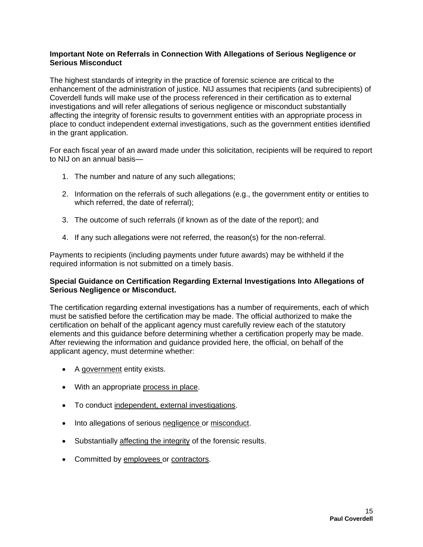#### **Important Note on Referrals in Connection With Allegations of Serious Negligence or Serious Misconduct**

The highest standards of integrity in the practice of forensic science are critical to the enhancement of the administration of justice. NIJ assumes that recipients (and subrecipients) of Coverdell funds will make use of the process referenced in their certification as to external investigations and will refer allegations of serious negligence or misconduct substantially affecting the integrity of forensic results to government entities with an appropriate process in place to conduct independent external investigations, such as the government entities identified in the grant application.

For each fiscal year of an award made under this solicitation, recipients will be required to report to NIJ on an annual basis—

- 1. The number and nature of any such allegations;
- 2. Information on the referrals of such allegations (e.g., the government entity or entities to which referred, the date of referral);
- 3. The outcome of such referrals (if known as of the date of the report); and
- 4. If any such allegations were not referred, the reason(s) for the non-referral.

Payments to recipients (including payments under future awards) may be withheld if the required information is not submitted on a timely basis.

#### **Special Guidance on Certification Regarding External Investigations Into Allegations of Serious Negligence or Misconduct.**

The certification regarding external investigations has a number of requirements, each of which must be satisfied before the certification may be made. The official authorized to make the certification on behalf of the applicant agency must carefully review each of the statutory elements and this guidance before determining whether a certification properly may be made. After reviewing the information and guidance provided here, the official, on behalf of the applicant agency, must determine whether:

- A government entity exists.
- With an appropriate process in place.
- To conduct independent, external investigations.
- Into allegations of serious negligence or misconduct.
- Substantially affecting the integrity of the forensic results.
- Committed by employees or contractors.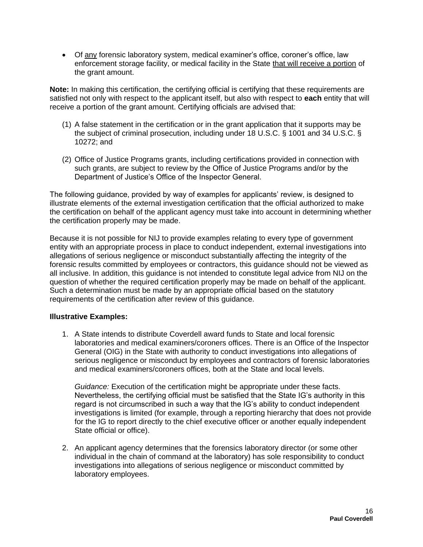Of any forensic laboratory system, medical examiner's office, coroner's office, law enforcement storage facility, or medical facility in the State that will receive a portion of the grant amount.

**Note:** In making this certification, the certifying official is certifying that these requirements are satisfied not only with respect to the applicant itself, but also with respect to **each** entity that will receive a portion of the grant amount. Certifying officials are advised that:

- (1) A false statement in the certification or in the grant application that it supports may be the subject of criminal prosecution, including under 18 U.S.C. § 1001 and 34 U.S.C. § 10272; and
- (2) Office of Justice Programs grants, including certifications provided in connection with such grants, are subject to review by the Office of Justice Programs and/or by the Department of Justice's Office of the Inspector General.

The following guidance, provided by way of examples for applicants' review, is designed to illustrate elements of the external investigation certification that the official authorized to make the certification on behalf of the applicant agency must take into account in determining whether the certification properly may be made.

Because it is not possible for NIJ to provide examples relating to every type of government entity with an appropriate process in place to conduct independent, external investigations into allegations of serious negligence or misconduct substantially affecting the integrity of the forensic results committed by employees or contractors, this guidance should not be viewed as all inclusive. In addition, this guidance is not intended to constitute legal advice from NIJ on the question of whether the required certification properly may be made on behalf of the applicant. Such a determination must be made by an appropriate official based on the statutory requirements of the certification after review of this guidance.

#### **Illustrative Examples:**

1. A State intends to distribute Coverdell award funds to State and local forensic laboratories and medical examiners/coroners offices. There is an Office of the Inspector General (OIG) in the State with authority to conduct investigations into allegations of serious negligence or misconduct by employees and contractors of forensic laboratories and medical examiners/coroners offices, both at the State and local levels.

*Guidance:* Execution of the certification might be appropriate under these facts. Nevertheless, the certifying official must be satisfied that the State IG's authority in this regard is not circumscribed in such a way that the IG's ability to conduct independent investigations is limited (for example, through a reporting hierarchy that does not provide for the IG to report directly to the chief executive officer or another equally independent State official or office).

2. An applicant agency determines that the forensics laboratory director (or some other individual in the chain of command at the laboratory) has sole responsibility to conduct investigations into allegations of serious negligence or misconduct committed by laboratory employees.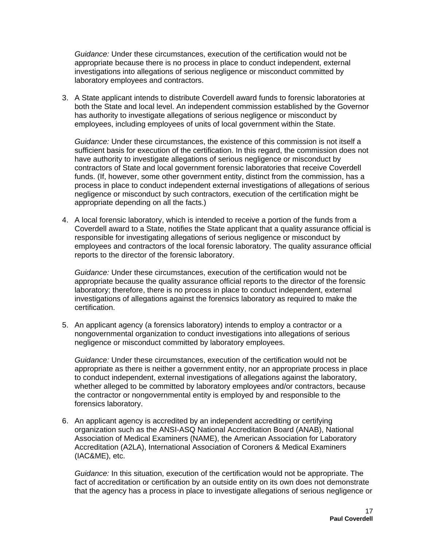*Guidance:* Under these circumstances, execution of the certification would not be appropriate because there is no process in place to conduct independent, external investigations into allegations of serious negligence or misconduct committed by laboratory employees and contractors.

3. A State applicant intends to distribute Coverdell award funds to forensic laboratories at both the State and local level. An independent commission established by the Governor has authority to investigate allegations of serious negligence or misconduct by employees, including employees of units of local government within the State.

*Guidance:* Under these circumstances, the existence of this commission is not itself a sufficient basis for execution of the certification. In this regard, the commission does not have authority to investigate allegations of serious negligence or misconduct by contractors of State and local government forensic laboratories that receive Coverdell funds. (If, however, some other government entity, distinct from the commission, has a process in place to conduct independent external investigations of allegations of serious negligence or misconduct by such contractors, execution of the certification might be appropriate depending on all the facts.)

4. A local forensic laboratory, which is intended to receive a portion of the funds from a Coverdell award to a State, notifies the State applicant that a quality assurance official is responsible for investigating allegations of serious negligence or misconduct by employees and contractors of the local forensic laboratory. The quality assurance official reports to the director of the forensic laboratory.

*Guidance:* Under these circumstances, execution of the certification would not be appropriate because the quality assurance official reports to the director of the forensic laboratory; therefore, there is no process in place to conduct independent, external investigations of allegations against the forensics laboratory as required to make the certification.

5. An applicant agency (a forensics laboratory) intends to employ a contractor or a nongovernmental organization to conduct investigations into allegations of serious negligence or misconduct committed by laboratory employees.

*Guidance:* Under these circumstances, execution of the certification would not be appropriate as there is neither a government entity, nor an appropriate process in place to conduct independent, external investigations of allegations against the laboratory, whether alleged to be committed by laboratory employees and/or contractors, because the contractor or nongovernmental entity is employed by and responsible to the forensics laboratory.

6. An applicant agency is accredited by an independent accrediting or certifying organization such as the ANSI-ASQ National Accreditation Board (ANAB), National Association of Medical Examiners (NAME), the American Association for Laboratory Accreditation (A2LA), International Association of Coroners & Medical Examiners (IAC&ME), etc.

*Guidance:* In this situation, execution of the certification would not be appropriate. The fact of accreditation or certification by an outside entity on its own does not demonstrate that the agency has a process in place to investigate allegations of serious negligence or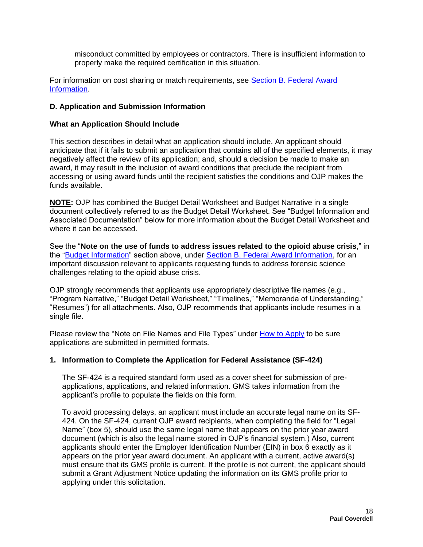misconduct committed by employees or contractors. There is insufficient information to properly make the required certification in this situation.

For information on cost sharing or match requirements, see Section B. Federal Award [Information.](#page-5-1)

## <span id="page-17-0"></span>**D. Application and Submission Information**

#### <span id="page-17-1"></span>**What an Application Should Include**

This section describes in detail what an application should include. An applicant should anticipate that if it fails to submit an application that contains all of the specified elements, it may negatively affect the review of its application; and, should a decision be made to make an award, it may result in the inclusion of award conditions that preclude the recipient from accessing or using award funds until the recipient satisfies the conditions and OJP makes the funds available.

**NOTE:** OJP has combined the Budget Detail Worksheet and Budget Narrative in a single document collectively referred to as the Budget Detail Worksheet. See "Budget Information and Associated Documentation" below for more information about the Budget Detail Worksheet and where it can be accessed.

See the "**Note on the use of funds to address issues related to the opioid abuse crisis**," in the ["Budget Information"](#page-7-0) section above, under [Section B. Federal Award Information,](#page-5-1) for an important discussion relevant to applicants requesting funds to address forensic science challenges relating to the opioid abuse crisis.

OJP strongly recommends that applicants use appropriately descriptive file names (e.g., "Program Narrative," "Budget Detail Worksheet," "Timelines," "Memoranda of Understanding," "Resumes") for all attachments. Also, OJP recommends that applicants include resumes in a single file.

Please review the "Note on File Names and File Types" under [How to Apply](#page-30-0) to be sure applications are submitted in permitted formats.

#### **1. Information to Complete the Application for Federal Assistance (SF-424)**

The SF-424 is a required standard form used as a cover sheet for submission of preapplications, applications, and related information. GMS takes information from the applicant's profile to populate the fields on this form.

To avoid processing delays, an applicant must include an accurate legal name on its SF-424. On the SF-424, current OJP award recipients, when completing the field for "Legal Name" (box 5), should use the same legal name that appears on the prior year award document (which is also the legal name stored in OJP's financial system.) Also, current applicants should enter the Employer Identification Number (EIN) in box 6 exactly as it appears on the prior year award document. An applicant with a current, active award(s) must ensure that its GMS profile is current. If the profile is not current, the applicant should submit a Grant Adjustment Notice updating the information on its GMS profile prior to applying under this solicitation.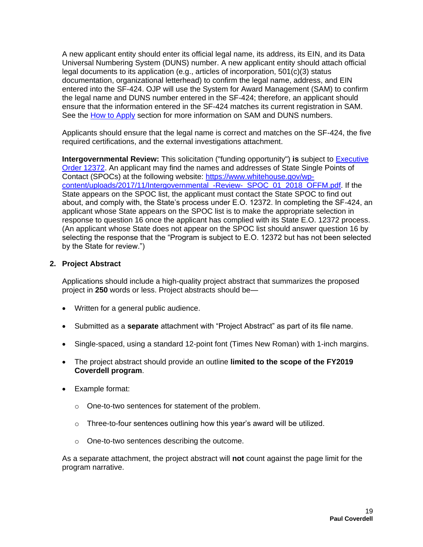A new applicant entity should enter its official legal name, its address, its EIN, and its Data Universal Numbering System (DUNS) number. A new applicant entity should attach official legal documents to its application (e.g., articles of incorporation, 501(c)(3) status documentation, organizational letterhead) to confirm the legal name, address, and EIN entered into the SF-424. OJP will use the System for Award Management (SAM) to confirm the legal name and DUNS number entered in the SF-424; therefore, an applicant should ensure that the information entered in the SF-424 matches its current registration in SAM. See the [How to Apply](#page-30-0) section for more information on SAM and DUNS numbers.

Applicants should ensure that the legal name is correct and matches on the SF-424, the five required certifications, and the external investigations attachment.

**Intergovernmental Review:** This solicitation ("funding opportunity") is subject to **Executive** [Order 12372.](https://www.archives.gov/federal-register/codification/executive-order/12372.html) An applicant may find the names and addresses of State Single Points of Contact (SPOCs) at the following website: [https://www.whitehouse.gov/wp](https://www.whitehouse.gov/wp-content/uploads/2017/11/Intergovernmental_-Review-_SPOC_01_2018_OFFM.pdf)[content/uploads/2017/11/Intergovernmental\\_-Review-\\_SPOC\\_01\\_2018\\_OFFM.pdf.](https://www.whitehouse.gov/wp-content/uploads/2017/11/Intergovernmental_-Review-_SPOC_01_2018_OFFM.pdf) If the State appears on the SPOC list, the applicant must contact the State SPOC to find out about, and comply with, the State's process under E.O. 12372. In completing the SF-424, an applicant whose State appears on the SPOC list is to make the appropriate selection in response to question 16 once the applicant has complied with its State E.O. 12372 process. (An applicant whose State does not appear on the SPOC list should answer question 16 by selecting the response that the "Program is subject to E.O. 12372 but has not been selected by the State for review.")

# **2. Project Abstract**

Applications should include a high-quality project abstract that summarizes the proposed project in **250** words or less. Project abstracts should be—

- Written for a general public audience.
- Submitted as a **separate** attachment with "Project Abstract" as part of its file name.
- Single-spaced, using a standard 12-point font (Times New Roman) with 1-inch margins.
- The project abstract should provide an outline **limited to the scope of the FY2019 Coverdell program**.
- Example format:
	- o One-to-two sentences for statement of the problem.
	- $\circ$  Three-to-four sentences outlining how this year's award will be utilized.
	- o One-to-two sentences describing the outcome.

As a separate attachment, the project abstract will **not** count against the page limit for the program narrative.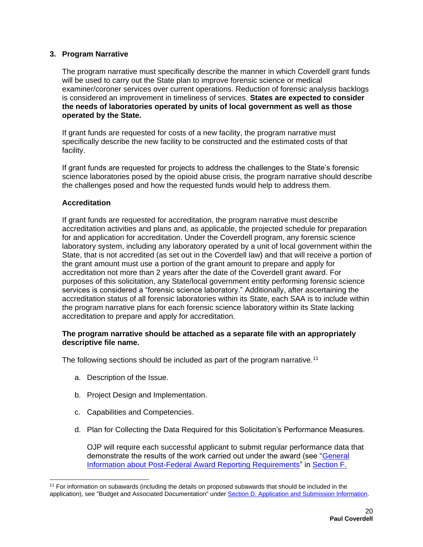## **3. Program Narrative**

The program narrative must specifically describe the manner in which Coverdell grant funds will be used to carry out the State plan to improve forensic science or medical examiner/coroner services over current operations. Reduction of forensic analysis backlogs is considered an improvement in timeliness of services. **States are expected to consider the needs of laboratories operated by units of local government as well as those operated by the State.**

If grant funds are requested for costs of a new facility, the program narrative must specifically describe the new facility to be constructed and the estimated costs of that facility.

If grant funds are requested for projects to address the challenges to the State's forensic science laboratories posed by the opioid abuse crisis, the program narrative should describe the challenges posed and how the requested funds would help to address them.

# **Accreditation**

If grant funds are requested for accreditation, the program narrative must describe accreditation activities and plans and, as applicable, the projected schedule for preparation for and application for accreditation. Under the Coverdell program, any forensic science laboratory system, including any laboratory operated by a unit of local government within the State, that is not accredited (as set out in the Coverdell law) and that will receive a portion of the grant amount must use a portion of the grant amount to prepare and apply for accreditation not more than 2 years after the date of the Coverdell grant award. For purposes of this solicitation, any State/local government entity performing forensic science services is considered a "forensic science laboratory." Additionally, after ascertaining the accreditation status of all forensic laboratories within its State, each SAA is to include within the program narrative plans for each forensic science laboratory within its State lacking accreditation to prepare and apply for accreditation.

#### **The program narrative should be attached as a separate file with an appropriately descriptive file name.**

The following sections should be included as part of the program narrative.<sup>11</sup>

a. Description of the Issue.

- b. Project Design and Implementation.
- c. Capabilities and Competencies.
- d. Plan for Collecting the Data Required for this Solicitation's Performance Measures.

OJP will require each successful applicant to submit regular performance data that demonstrate the results of the work carried out under the award (see "General Information [about Post-Federal Award Reporting Requirements"](#page-35-0) in [Section F.](#page-34-0) 

<sup>&</sup>lt;sup>11</sup> For information on subawards (including the details on proposed subawards that should be included in the application), see "Budget and Associated Documentation" under [Section D. Application and Submission Information.](#page-17-0)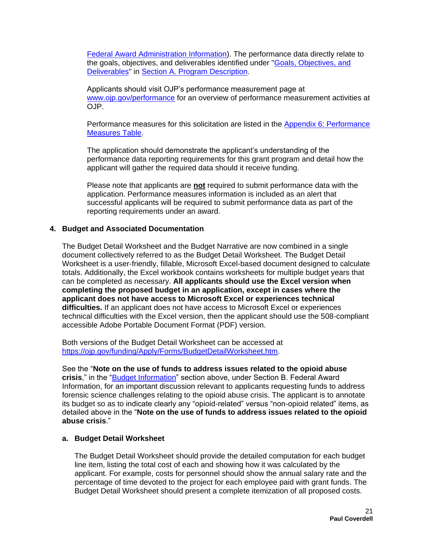[Federal Award Administration Information\)](#page-34-0). The performance data directly relate to the goals, objectives, and deliverables identified under ["Goals, Objectives, and](#page-4-0)  [Deliverables"](#page-4-0) in [Section A. Program Description.](#page-3-0)

Applicants should visit OJP's performance measurement page at [www.ojp.gov/performance](https://www.ojp.gov/performance) for an overview of performance measurement activities at OJP.

Performance measures for this solicitation are listed in the [Appendix 6: Performance](#page-51-1)  [Measures Table.](#page-51-1)

The application should demonstrate the applicant's understanding of the performance data reporting requirements for this grant program and detail how the applicant will gather the required data should it receive funding.

Please note that applicants are **not** required to submit performance data with the application. Performance measures information is included as an alert that successful applicants will be required to submit performance data as part of the reporting requirements under an award.

#### **4. Budget and Associated Documentation**

The Budget Detail Worksheet and the Budget Narrative are now combined in a single document collectively referred to as the Budget Detail Worksheet. The Budget Detail Worksheet is a user-friendly, fillable, Microsoft Excel-based document designed to calculate totals. Additionally, the Excel workbook contains worksheets for multiple budget years that can be completed as necessary. **All applicants should use the Excel version when completing the proposed budget in an application, except in cases where the applicant does not have access to Microsoft Excel or experiences technical difficulties.** If an applicant does not have access to Microsoft Excel or experiences technical difficulties with the Excel version, then the applicant should use the 508-compliant accessible Adobe Portable Document Format (PDF) version.

Both versions of the Budget Detail Worksheet can be accessed at [https://ojp.gov/funding/Apply/Forms/BudgetDetailWorksheet.htm.](https://ojp.gov/funding/Apply/Forms/BudgetDetailWorksheet.htm)

See the "**Note on the use of funds to address issues related to the opioid abuse crisis**," in the ["Budget Information"](#page-7-0) section above, under Section B. Federal Award Information, for an important discussion relevant to applicants requesting funds to address forensic science challenges relating to the opioid abuse crisis. The applicant is to annotate its budget so as to indicate clearly any "opioid-related" versus "non-opioid related" items, as detailed above in the "**Note on the use of funds to address issues related to the opioid abuse crisis**."

#### **a. Budget Detail Worksheet**

The Budget Detail Worksheet should provide the detailed computation for each budget line item, listing the total cost of each and showing how it was calculated by the applicant. For example, costs for personnel should show the annual salary rate and the percentage of time devoted to the project for each employee paid with grant funds. The Budget Detail Worksheet should present a complete itemization of all proposed costs.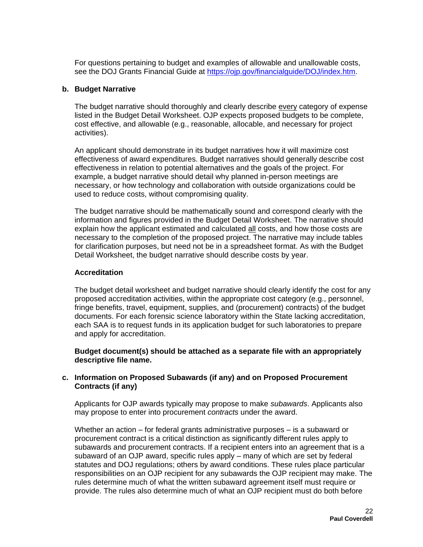For questions pertaining to budget and examples of allowable and unallowable costs, see the DOJ Grants Financial Guide at [https://ojp.gov/financialguide/DOJ/index.htm.](https://ojp.gov/financialguide/DOJ/index.htm)

#### **b. Budget Narrative**

The budget narrative should thoroughly and clearly describe every category of expense listed in the Budget Detail Worksheet. OJP expects proposed budgets to be complete, cost effective, and allowable (e.g., reasonable, allocable, and necessary for project activities).

An applicant should demonstrate in its budget narratives how it will maximize cost effectiveness of award expenditures. Budget narratives should generally describe cost effectiveness in relation to potential alternatives and the goals of the project. For example, a budget narrative should detail why planned in-person meetings are necessary, or how technology and collaboration with outside organizations could be used to reduce costs, without compromising quality.

The budget narrative should be mathematically sound and correspond clearly with the information and figures provided in the Budget Detail Worksheet. The narrative should explain how the applicant estimated and calculated all costs, and how those costs are necessary to the completion of the proposed project. The narrative may include tables for clarification purposes, but need not be in a spreadsheet format. As with the Budget Detail Worksheet, the budget narrative should describe costs by year.

#### **Accreditation**

The budget detail worksheet and budget narrative should clearly identify the cost for any proposed accreditation activities, within the appropriate cost category (e.g., personnel, fringe benefits, travel, equipment, supplies, and (procurement) contracts) of the budget documents. For each forensic science laboratory within the State lacking accreditation, each SAA is to request funds in its application budget for such laboratories to prepare and apply for accreditation.

**Budget document(s) should be attached as a separate file with an appropriately descriptive file name.**

#### **c. Information on Proposed Subawards (if any) and on Proposed Procurement Contracts (if any)**

Applicants for OJP awards typically may propose to make *subawards*. Applicants also may propose to enter into procurement *contracts* under the award.

Whether an action – for federal grants administrative purposes – is a subaward or procurement contract is a critical distinction as significantly different rules apply to subawards and procurement contracts. If a recipient enters into an agreement that is a subaward of an OJP award, specific rules apply – many of which are set by federal statutes and DOJ regulations; others by award conditions. These rules place particular responsibilities on an OJP recipient for any subawards the OJP recipient may make. The rules determine much of what the written subaward agreement itself must require or provide. The rules also determine much of what an OJP recipient must do both before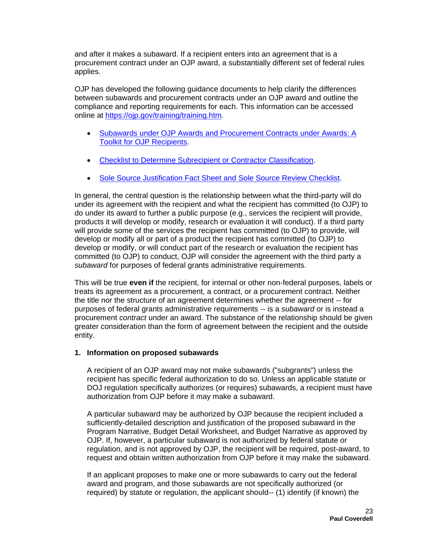and after it makes a subaward. If a recipient enters into an agreement that is a procurement contract under an OJP award, a substantially different set of federal rules applies.

OJP has developed the following guidance documents to help clarify the differences between subawards and procurement contracts under an OJP award and outline the compliance and reporting requirements for each. This information can be accessed online at [https://ojp.gov/training/training.htm.](https://ojp.gov/training/training.htm)

- [Subawards under OJP Awards and Procurement Contracts under Awards: A](https://ojp.gov/training/pdfs/Subaward-Procure-Toolkit-D.pdf)  [Toolkit for OJP Recipients.](https://ojp.gov/training/pdfs/Subaward-Procure-Toolkit-D.pdf)
- [Checklist to Determine Subrecipient or Contractor Classification.](https://ojp.gov/training/pdfs/Subrecipient-Procure-cklist-B.pdf)
- [Sole Source Justification Fact Sheet and](https://ojp.gov/training/pdfs/Sole-Source-FactSheet-C.pdf) Sole Source Review Checklist.

In general, the central question is the relationship between what the third-party will do under its agreement with the recipient and what the recipient has committed (to OJP) to do under its award to further a public purpose (e.g., services the recipient will provide, products it will develop or modify, research or evaluation it will conduct). If a third party will provide some of the services the recipient has committed (to OJP) to provide, will develop or modify all or part of a product the recipient has committed (to OJP) to develop or modify, or will conduct part of the research or evaluation the recipient has committed (to OJP) to conduct, OJP will consider the agreement with the third party a *subaward* for purposes of federal grants administrative requirements.

This will be true **even if** the recipient, for internal or other non-federal purposes, labels or treats its agreement as a procurement, a contract, or a procurement contract. Neither the title nor the structure of an agreement determines whether the agreement -- for purposes of federal grants administrative requirements -- is a *subaward* or is instead a procurement *contract* under an award. The substance of the relationship should be given greater consideration than the form of agreement between the recipient and the outside entity.

# **1. Information on proposed subawards**

A recipient of an OJP award may not make subawards ("subgrants") unless the recipient has specific federal authorization to do so. Unless an applicable statute or DOJ regulation specifically authorizes (or requires) subawards, a recipient must have authorization from OJP before it may make a subaward.

A particular subaward may be authorized by OJP because the recipient included a sufficiently-detailed description and justification of the proposed subaward in the Program Narrative, Budget Detail Worksheet, and Budget Narrative as approved by OJP. If, however, a particular subaward is not authorized by federal statute or regulation, and is not approved by OJP, the recipient will be required, post-award, to request and obtain written authorization from OJP before it may make the subaward.

If an applicant proposes to make one or more subawards to carry out the federal award and program, and those subawards are not specifically authorized (or required) by statute or regulation, the applicant should-- (1) identify (if known) the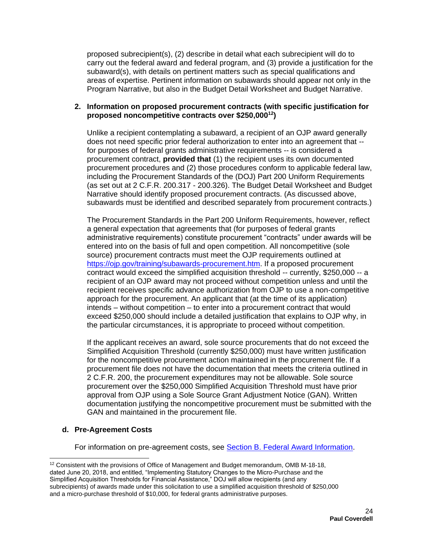proposed subrecipient(s), (2) describe in detail what each subrecipient will do to carry out the federal award and federal program, and (3) provide a justification for the subaward(s), with details on pertinent matters such as special qualifications and areas of expertise. Pertinent information on subawards should appear not only in the Program Narrative, but also in the Budget Detail Worksheet and Budget Narrative.

#### **2. Information on proposed procurement contracts (with specific justification for proposed noncompetitive contracts over \$250,000<sup>12</sup>)**

Unlike a recipient contemplating a subaward, a recipient of an OJP award generally does not need specific prior federal authorization to enter into an agreement that - for purposes of federal grants administrative requirements -- is considered a procurement contract, **provided that** (1) the recipient uses its own documented procurement procedures and (2) those procedures conform to applicable federal law, including the Procurement Standards of the (DOJ) Part 200 Uniform Requirements (as set out at 2 C.F.R. 200.317 - 200.326). The Budget Detail Worksheet and Budget Narrative should identify proposed procurement contracts. (As discussed above, subawards must be identified and described separately from procurement contracts.)

The Procurement Standards in the Part 200 Uniform Requirements, however, reflect a general expectation that agreements that (for purposes of federal grants administrative requirements) constitute procurement "contracts" under awards will be entered into on the basis of full and open competition. All noncompetitive (sole source) procurement contracts must meet the OJP requirements outlined at [https://ojp.gov/training/subawards-procurement.htm.](https://ojp.gov/training/subawards-procurement.htm) If a proposed procurement contract would exceed the simplified acquisition threshold -- currently, \$250,000 -- a recipient of an OJP award may not proceed without competition unless and until the recipient receives specific advance authorization from OJP to use a non-competitive approach for the procurement. An applicant that (at the time of its application) intends – without competition – to enter into a procurement contract that would exceed \$250,000 should include a detailed justification that explains to OJP why, in the particular circumstances, it is appropriate to proceed without competition.

If the applicant receives an award, sole source procurements that do not exceed the Simplified Acquisition Threshold (currently \$250,000) must have written justification for the noncompetitive procurement action maintained in the procurement file. If a procurement file does not have the documentation that meets the criteria outlined in 2 C.F.R. 200, the procurement expenditures may not be allowable. Sole source procurement over the \$250,000 Simplified Acquisition Threshold must have prior approval from OJP using a Sole Source Grant Adjustment Notice (GAN). Written documentation justifying the noncompetitive procurement must be submitted with the GAN and maintained in the procurement file.

#### **d. Pre-Agreement Costs**

For information on pre-agreement costs, see [Section B. Federal Award Information.](#page-5-1)

 $\overline{a}$ <sup>12</sup> Consistent with the provisions of Office of Management and Budget memorandum, OMB M-18-18, dated June 20, 2018, and entitled, "Implementing Statutory Changes to the Micro-Purchase and the Simplified Acquisition Thresholds for Financial Assistance," DOJ will allow recipients (and any subrecipients) of awards made under this solicitation to use a simplified acquisition threshold of \$250,000 and a micro-purchase threshold of \$10,000, for federal grants administrative purposes.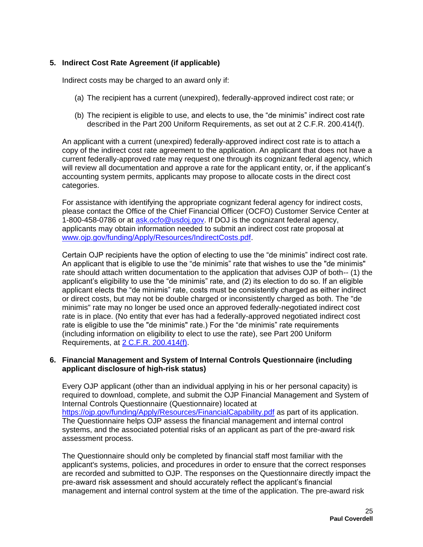# **5. Indirect Cost Rate Agreement (if applicable)**

Indirect costs may be charged to an award only if:

- (a) The recipient has a current (unexpired), federally-approved indirect cost rate; or
- (b) The recipient is eligible to use, and elects to use, the "de minimis" indirect cost rate described in the Part 200 Uniform Requirements, as set out at 2 C.F.R. 200.414(f).

An applicant with a current (unexpired) federally-approved indirect cost rate is to attach a copy of the indirect cost rate agreement to the application. An applicant that does not have a current federally-approved rate may request one through its cognizant federal agency, which will review all documentation and approve a rate for the applicant entity, or, if the applicant's accounting system permits, applicants may propose to allocate costs in the direct cost categories.

For assistance with identifying the appropriate cognizant federal agency for indirect costs, please contact the Office of the Chief Financial Officer (OCFO) Customer Service Center at 1-800-458-0786 or at [ask.ocfo@usdoj.gov.](mailto:ask.ocfo@usdoj.gov) If DOJ is the cognizant federal agency, applicants may obtain information needed to submit an indirect cost rate proposal at [www.ojp.gov/funding/Apply/Resources/IndirectCosts.pdf.](https://ojp.gov/funding/Apply/Resources/IndirectCosts.pdf)

Certain OJP recipients have the option of electing to use the "de minimis" indirect cost rate. An applicant that is eligible to use the "de minimis" rate that wishes to use the "de minimis" rate should attach written documentation to the application that advises OJP of both-- (1) the applicant's eligibility to use the "de minimis" rate, and (2) its election to do so. If an eligible applicant elects the "de minimis" rate, costs must be consistently charged as either indirect or direct costs, but may not be double charged or inconsistently charged as both. The "de minimis" rate may no longer be used once an approved federally-negotiated indirect cost rate is in place. (No entity that ever has had a federally-approved negotiated indirect cost rate is eligible to use the "de minimis" rate.) For the "de minimis" rate requirements (including information on eligibility to elect to use the rate), see Part 200 Uniform Requirements, at [2 C.F.R. 200.414\(f\).](https://www.ecfr.gov/cgi-bin/text-idx?node=se2.1.200_1414&rgn=div8)

#### **6. Financial Management and System of Internal Controls Questionnaire (including applicant disclosure of high-risk status)**

Every OJP applicant (other than an individual applying in his or her personal capacity) is required to download, complete, and submit the OJP Financial Management and System of Internal Controls Questionnaire (Questionnaire) located at <https://ojp.gov/funding/Apply/Resources/FinancialCapability.pdf> as part of its application. The Questionnaire helps OJP assess the financial management and internal control systems, and the associated potential risks of an applicant as part of the pre-award risk assessment process.

The Questionnaire should only be completed by financial staff most familiar with the applicant's systems, policies, and procedures in order to ensure that the correct responses are recorded and submitted to OJP. The responses on the Questionnaire directly impact the pre-award risk assessment and should accurately reflect the applicant's financial management and internal control system at the time of the application. The pre-award risk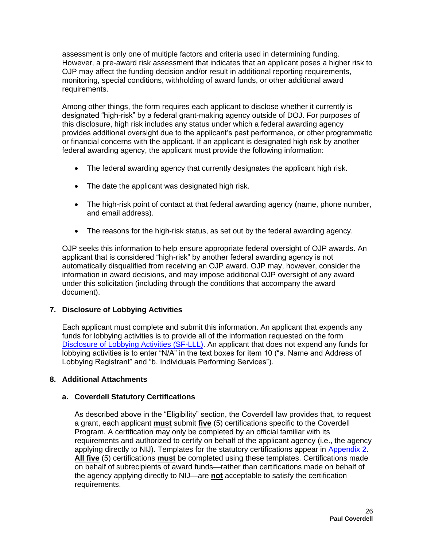assessment is only one of multiple factors and criteria used in determining funding. However, a pre-award risk assessment that indicates that an applicant poses a higher risk to OJP may affect the funding decision and/or result in additional reporting requirements, monitoring, special conditions, withholding of award funds, or other additional award requirements.

Among other things, the form requires each applicant to disclose whether it currently is designated "high-risk" by a federal grant-making agency outside of DOJ. For purposes of this disclosure, high risk includes any status under which a federal awarding agency provides additional oversight due to the applicant's past performance, or other programmatic or financial concerns with the applicant. If an applicant is designated high risk by another federal awarding agency, the applicant must provide the following information:

- The federal awarding agency that currently designates the applicant high risk.
- The date the applicant was designated high risk.
- The high-risk point of contact at that federal awarding agency (name, phone number, and email address).
- The reasons for the high-risk status, as set out by the federal awarding agency.

OJP seeks this information to help ensure appropriate federal oversight of OJP awards. An applicant that is considered "high-risk" by another federal awarding agency is not automatically disqualified from receiving an OJP award. OJP may, however, consider the information in award decisions, and may impose additional OJP oversight of any award under this solicitation (including through the conditions that accompany the award document).

#### **7. Disclosure of Lobbying Activities**

Each applicant must complete and submit this information. An applicant that expends any funds for lobbying activities is to provide all of the information requested on the form [Disclosure of Lobbying Activities \(SF-LLL\).](https://ojp.gov/funding/Apply/Resources/Disclosure.pdf) An applicant that does not expend any funds for lobbying activities is to enter "N/A" in the text boxes for item 10 ("a. Name and Address of Lobbying Registrant" and "b. Individuals Performing Services").

#### **8. Additional Attachments**

#### **a. Coverdell Statutory Certifications**

As described above in the "Eligibility" section, the Coverdell law provides that, to request a grant, each applicant **must** submit **five** (5) certifications specific to the Coverdell Program. A certification may only be completed by an official familiar with its requirements and authorized to certify on behalf of the applicant agency (i.e., the agency applying directly to NIJ). Templates for the statutory certifications appear in [Appendix 2.](#page-39-0) **All five** (5) certifications **must** be completed using these templates. Certifications made on behalf of subrecipients of award funds—rather than certifications made on behalf of the agency applying directly to NIJ—are **not** acceptable to satisfy the certification requirements.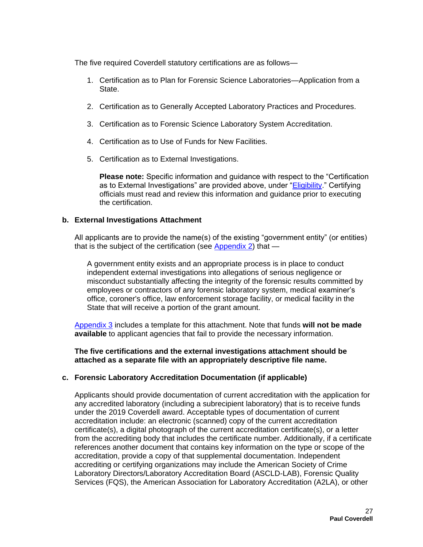The five required Coverdell statutory certifications are as follows—

- 1. Certification as to Plan for Forensic Science Laboratories—Application from a State.
- 2. Certification as to Generally Accepted Laboratory Practices and Procedures.
- 3. Certification as to Forensic Science Laboratory System Accreditation.
- 4. Certification as to Use of Funds for New Facilities.
- 5. Certification as to External Investigations.

**Please note:** Specific information and guidance with respect to the "Certification as to External Investigations" are provided above, under ["Eligibility.](#page-11-0)" Certifying officials must read and review this information and guidance prior to executing the certification.

# **b. External Investigations Attachment**

All applicants are to provide the name(s) of the existing "government entity" (or entities) that is the subject of the certification (see [Appendix 2\)](#page-39-0) that -

A government entity exists and an appropriate process is in place to conduct independent external investigations into allegations of serious negligence or misconduct substantially affecting the integrity of the forensic results committed by employees or contractors of any forensic laboratory system, medical examiner's office, coroner's office, law enforcement storage facility, or medical facility in the State that will receive a portion of the grant amount.

[Appendix 3](#page-46-0) includes a template for this attachment. Note that funds **will not be made available** to applicant agencies that fail to provide the necessary information.

**The five certifications and the external investigations attachment should be attached as a separate file with an appropriately descriptive file name.**

# **c. Forensic Laboratory Accreditation Documentation (if applicable)**

Applicants should provide documentation of current accreditation with the application for any accredited laboratory (including a subrecipient laboratory) that is to receive funds under the 2019 Coverdell award. Acceptable types of documentation of current accreditation include: an electronic (scanned) copy of the current accreditation certificate(s), a digital photograph of the current accreditation certificate(s), or a letter from the accrediting body that includes the certificate number. Additionally, if a certificate references another document that contains key information on the type or scope of the accreditation, provide a copy of that supplemental documentation. Independent accrediting or certifying organizations may include the American Society of Crime Laboratory Directors/Laboratory Accreditation Board (ASCLD-LAB), Forensic Quality Services (FQS), the American Association for Laboratory Accreditation (A2LA), or other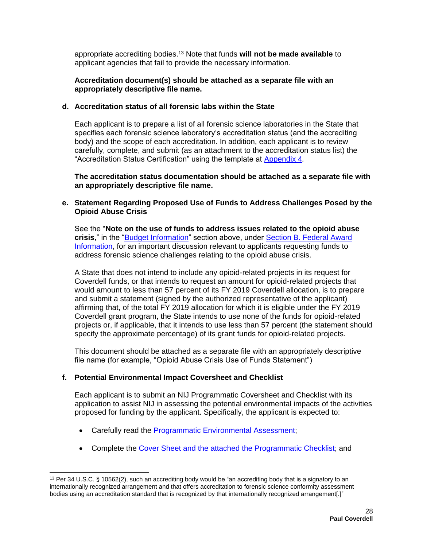appropriate accrediting bodies.<sup>13</sup> Note that funds **will not be made available** to applicant agencies that fail to provide the necessary information.

#### **Accreditation document(s) should be attached as a separate file with an appropriately descriptive file name.**

#### **d. Accreditation status of all forensic labs within the State**

Each applicant is to prepare a list of all forensic science laboratories in the State that specifies each forensic science laboratory's accreditation status (and the accrediting body) and the scope of each accreditation. In addition, each applicant is to review carefully, complete, and submit (as an attachment to the accreditation status list) the "Accreditation Status Certification" using the template at [Appendix](#page-48-0) 4*.*

**The accreditation status documentation should be attached as a separate file with an appropriately descriptive file name.**

#### **e. Statement Regarding Proposed Use of Funds to Address Challenges Posed by the Opioid Abuse Crisis**

See the "**Note on the use of funds to address issues related to the opioid abuse**  crisis," in the "**Budget Information**" section above, under **Section B. Federal Award** [Information,](#page-5-1) for an important discussion relevant to applicants requesting funds to address forensic science challenges relating to the opioid abuse crisis.

A State that does not intend to include any opioid-related projects in its request for Coverdell funds, or that intends to request an amount for opioid-related projects that would amount to less than 57 percent of its FY 2019 Coverdell allocation, is to prepare and submit a statement (signed by the authorized representative of the applicant) affirming that, of the total FY 2019 allocation for which it is eligible under the FY 2019 Coverdell grant program, the State intends to use none of the funds for opioid-related projects or, if applicable, that it intends to use less than 57 percent (the statement should specify the approximate percentage) of its grant funds for opioid-related projects.

This document should be attached as a separate file with an appropriately descriptive file name (for example, "Opioid Abuse Crisis Use of Funds Statement")

#### **f. Potential Environmental Impact Coversheet and Checklist**

Each applicant is to submit an NIJ Programmatic Coversheet and Checklist with its application to assist NIJ in assessing the potential environmental impacts of the activities proposed for funding by the applicant. Specifically, the applicant is expected to:

- Carefully read the **Programmatic Environmental Assessment:**
- Complete the [Cover Sheet and the attached the Programmatic Checklist;](https://nij.gov/funding/Documents/nij-grant-program-checklist-nepa.pdf) and

<sup>&</sup>lt;sup>13</sup> Per 34 U.S.C. § 10562(2), such an accrediting body would be "an accrediting body that is a signatory to an internationally recognized arrangement and that offers accreditation to forensic science conformity assessment bodies using an accreditation standard that is recognized by that internationally recognized arrangement[.]"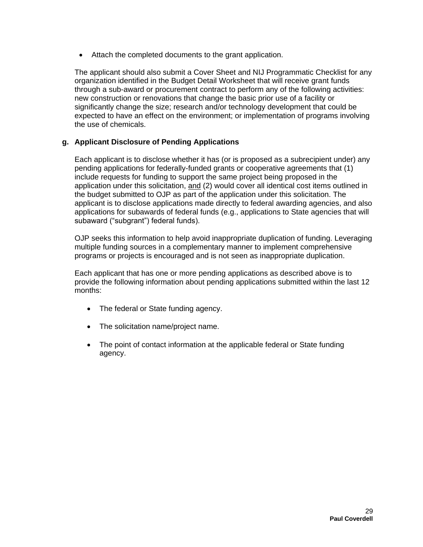Attach the completed documents to the grant application.

The applicant should also submit a Cover Sheet and NIJ Programmatic Checklist for any organization identified in the Budget Detail Worksheet that will receive grant funds through a sub-award or procurement contract to perform any of the following activities: new construction or renovations that change the basic prior use of a facility or significantly change the size; research and/or technology development that could be expected to have an effect on the environment; or implementation of programs involving the use of chemicals.

#### **g. Applicant Disclosure of Pending Applications**

Each applicant is to disclose whether it has (or is proposed as a subrecipient under) any pending applications for federally-funded grants or cooperative agreements that (1) include requests for funding to support the same project being proposed in the application under this solicitation, and (2) would cover all identical cost items outlined in the budget submitted to OJP as part of the application under this solicitation. The applicant is to disclose applications made directly to federal awarding agencies, and also applications for subawards of federal funds (e.g., applications to State agencies that will subaward ("subgrant") federal funds).

OJP seeks this information to help avoid inappropriate duplication of funding. Leveraging multiple funding sources in a complementary manner to implement comprehensive programs or projects is encouraged and is not seen as inappropriate duplication.

Each applicant that has one or more pending applications as described above is to provide the following information about pending applications submitted within the last 12 months:

- The federal or State funding agency.
- The solicitation name/project name.
- The point of contact information at the applicable federal or State funding agency.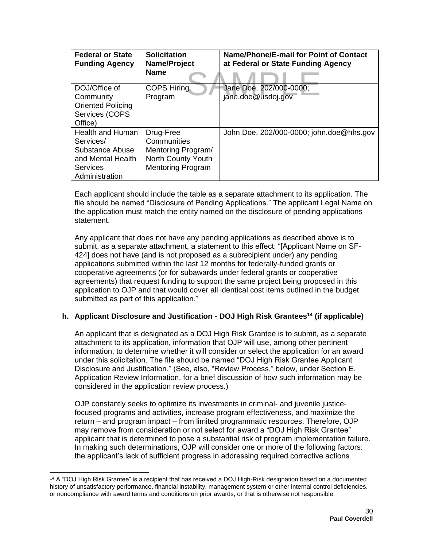| <b>Federal or State</b><br><b>Funding Agency</b>                                                    | <b>Solicitation</b><br>Name/Project<br><b>Name</b>                                               | Name/Phone/E-mail for Point of Contact<br>at Federal or State Funding Agency |
|-----------------------------------------------------------------------------------------------------|--------------------------------------------------------------------------------------------------|------------------------------------------------------------------------------|
| DOJ/Office of<br>Community<br><b>Oriented Policing</b><br>Services (COPS<br>Office)                 | <b>COPS Hiring</b><br>Program                                                                    | Jane Doe, 202/000-0000;<br>jane.doe@usdoj.gov                                |
| Health and Human<br>Services/<br>Substance Abuse<br>and Mental Health<br>Services<br>Administration | Drug-Free<br>Communities<br>Mentoring Program/<br>North County Youth<br><b>Mentoring Program</b> | John Doe, 202/000-0000; john.doe@hhs.gov                                     |

Each applicant should include the table as a separate attachment to its application. The file should be named "Disclosure of Pending Applications." The applicant Legal Name on the application must match the entity named on the disclosure of pending applications statement.

Any applicant that does not have any pending applications as described above is to submit, as a separate attachment, a statement to this effect: "[Applicant Name on SF-424] does not have (and is not proposed as a subrecipient under) any pending applications submitted within the last 12 months for federally-funded grants or cooperative agreements (or for subawards under federal grants or cooperative agreements) that request funding to support the same project being proposed in this application to OJP and that would cover all identical cost items outlined in the budget submitted as part of this application."

# **h. Applicant Disclosure and Justification - DOJ High Risk Grantees<sup>14</sup> (if applicable)**

An applicant that is designated as a DOJ High Risk Grantee is to submit, as a separate attachment to its application, information that OJP will use, among other pertinent information, to determine whether it will consider or select the application for an award under this solicitation. The file should be named "DOJ High Risk Grantee Applicant Disclosure and Justification." (See, also, "Review Process," below, under Section E. Application Review Information, for a brief discussion of how such information may be considered in the application review process.)

OJP constantly seeks to optimize its investments in criminal- and juvenile justicefocused programs and activities, increase program effectiveness, and maximize the return – and program impact – from limited programmatic resources. Therefore, OJP may remove from consideration or not select for award a "DOJ High Risk Grantee" applicant that is determined to pose a substantial risk of program implementation failure. In making such determinations, OJP will consider one or more of the following factors: the applicant's lack of sufficient progress in addressing required corrective actions

<sup>&</sup>lt;sup>14</sup> A "DOJ High Risk Grantee" is a recipient that has received a DOJ High-Risk designation based on a documented history of unsatisfactory performance, financial instability, management system or other internal control deficiencies, or noncompliance with award terms and conditions on prior awards, or that is otherwise not responsible.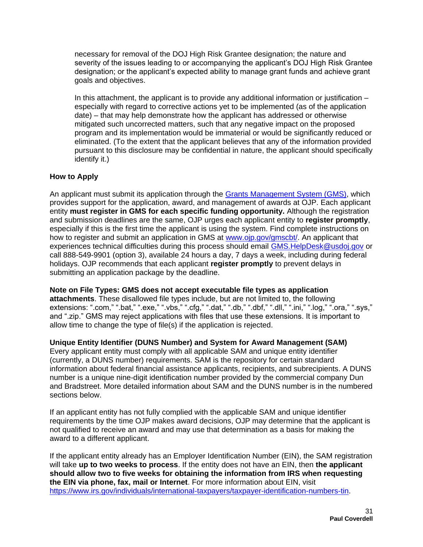necessary for removal of the DOJ High Risk Grantee designation; the nature and severity of the issues leading to or accompanying the applicant's DOJ High Risk Grantee designation; or the applicant's expected ability to manage grant funds and achieve grant goals and objectives.

In this attachment, the applicant is to provide any additional information or justification – especially with regard to corrective actions yet to be implemented (as of the application date) – that may help demonstrate how the applicant has addressed or otherwise mitigated such uncorrected matters, such that any negative impact on the proposed program and its implementation would be immaterial or would be significantly reduced or eliminated. (To the extent that the applicant believes that any of the information provided pursuant to this disclosure may be confidential in nature, the applicant should specifically identify it.)

# <span id="page-30-0"></span>**How to Apply**

An applicant must submit its application through the [Grants Management System \(GMS\),](https://grants.ojp.usdoj.gov/gmsexternal/) which provides support for the application, award, and management of awards at OJP. Each applicant entity **must register in GMS for each specific funding opportunity.** Although the registration and submission deadlines are the same, OJP urges each applicant entity to **register promptly**, especially if this is the first time the applicant is using the system. Find complete instructions on how to register and submit an application in GMS at [www.ojp.gov/gmscbt/.](https://ojp.gov/gmscbt) An applicant that experiences technical difficulties during this process should email [GMS.HelpDesk@usdoj.gov](mailto:GMS.HelpDesk@usdoj.gov) or call 888-549-9901 (option 3), available 24 hours a day, 7 days a week, including during federal holidays. OJP recommends that each applicant **register promptly** to prevent delays in submitting an application package by the deadline.

**Note on File Types: GMS does not accept executable file types as application attachments**. These disallowed file types include, but are not limited to, the following extensions: ".com," ".bat," ".exe," ".vbs," ".cfg," ".dat," ".db," ".dbf," ".dll," ".ini," ".log," ".ora," ".sys," and ".zip." GMS may reject applications with files that use these extensions. It is important to allow time to change the type of file(s) if the application is rejected.

**Unique Entity Identifier (DUNS Number) and System for Award Management (SAM)**

Every applicant entity must comply with all applicable SAM and unique entity identifier (currently, a DUNS number) requirements. SAM is the repository for certain standard information about federal financial assistance applicants, recipients, and subrecipients. A DUNS number is a unique nine-digit identification number provided by the commercial company Dun and Bradstreet. More detailed information about SAM and the DUNS number is in the numbered sections below.

If an applicant entity has not fully complied with the applicable SAM and unique identifier requirements by the time OJP makes award decisions, OJP may determine that the applicant is not qualified to receive an award and may use that determination as a basis for making the award to a different applicant.

If the applicant entity already has an Employer Identification Number (EIN), the SAM registration will take **up to two weeks to process**. If the entity does not have an EIN, then **the applicant should allow two to five weeks for obtaining the information from IRS when requesting the EIN via phone, fax, mail or Internet**. For more information about EIN, visit [https://www.irs.gov/individuals/international-taxpayers/taxpayer-identification-numbers-tin.](https://www.irs.gov/individuals/international-taxpayers/taxpayer-identification-numbers-tin)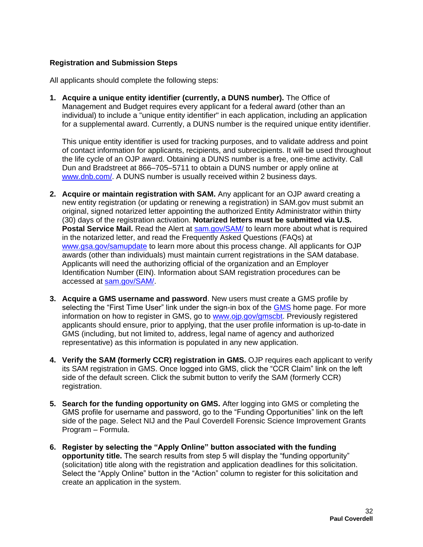## **Registration and Submission Steps**

All applicants should complete the following steps:

**1. Acquire a unique entity identifier (currently, a DUNS number).** The Office of Management and Budget requires every applicant for a federal award (other than an individual) to include a "unique entity identifier" in each application, including an application for a supplemental award. Currently, a DUNS number is the required unique entity identifier.

This unique entity identifier is used for tracking purposes, and to validate address and point of contact information for applicants, recipients, and subrecipients. It will be used throughout the life cycle of an OJP award. Obtaining a DUNS number is a free, one-time activity. Call Dun and Bradstreet at 866–705–5711 to obtain a DUNS number or apply online at [www.dnb.com/.](https://www.dnb.com/) A DUNS number is usually received within 2 business days.

- **2. Acquire or maintain registration with SAM.** Any applicant for an OJP award creating a new entity registration (or updating or renewing a registration) in SAM.gov must submit an original, signed notarized letter appointing the authorized Entity Administrator within thirty (30) days of the registration activation. **Notarized letters must be submitted via U.S. Postal Service Mail.** Read the Alert at [sam.gov/SAM/](https://sam.gov/SAM/) to learn more about what is required in the notarized letter, and read the Frequently Asked Questions (FAQs) at [www.gsa.gov/samupdate](https://www.gsa.gov/samupdate) to learn more about this process change. All applicants for OJP awards (other than individuals) must maintain current registrations in the SAM database. Applicants will need the authorizing official of the organization and an Employer Identification Number (EIN). Information about SAM registration procedures can be accessed at [sam.gov/SAM/.](https://sam.gov/SAM/)
- **3. Acquire a GMS username and password**. New users must create a GMS profile by selecting the "First Time User" link under the sign-in box of the [GMS](https://grants.ojp.usdoj.gov/gmsexternal/login.do) home page. For more information on how to register in GMS, go to [www.ojp.gov/gmscbt.](https://ojp.gov/gmscbt) Previously registered applicants should ensure, prior to applying, that the user profile information is up-to-date in GMS (including, but not limited to, address, legal name of agency and authorized representative) as this information is populated in any new application.
- **4. Verify the SAM (formerly CCR) registration in GMS.** OJP requires each applicant to verify its SAM registration in GMS. Once logged into GMS, click the "CCR Claim" link on the left side of the default screen. Click the submit button to verify the SAM (formerly CCR) registration.
- **5. Search for the funding opportunity on GMS.** After logging into GMS or completing the GMS profile for username and password, go to the "Funding Opportunities" link on the left side of the page. Select NIJ and the Paul Coverdell Forensic Science Improvement Grants Program – Formula.
- **6. Register by selecting the "Apply Online" button associated with the funding opportunity title.** The search results from step 5 will display the "funding opportunity" (solicitation) title along with the registration and application deadlines for this solicitation. Select the "Apply Online" button in the "Action" column to register for this solicitation and create an application in the system.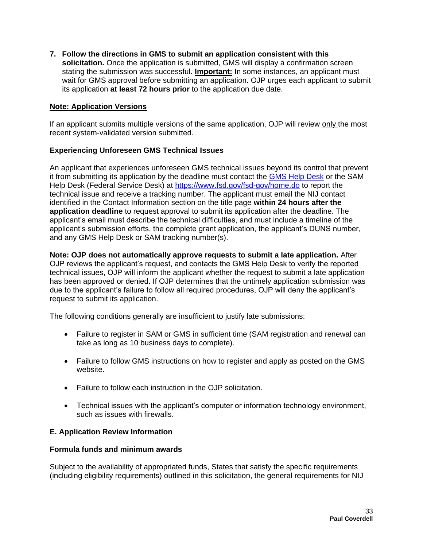**7. Follow the directions in GMS to submit an application consistent with this** 

**solicitation.** Once the application is submitted, GMS will display a confirmation screen stating the submission was successful. **Important:** In some instances, an applicant must wait for GMS approval before submitting an application. OJP urges each applicant to submit its application **at least 72 hours prior** to the application due date.

#### **Note: Application Versions**

If an applicant submits multiple versions of the same application, OJP will review only the most recent system-validated version submitted.

#### **Experiencing Unforeseen GMS Technical Issues**

An applicant that experiences unforeseen GMS technical issues beyond its control that prevent it from submitting its application by the deadline must contact the [GMS Help Desk](mailto:GMS.HelpDesk@usdoj.gov) or the SAM Help Desk (Federal Service Desk) at<https://www.fsd.gov/fsd-gov/home.do> to report the technical issue and receive a tracking number. The applicant must email the NIJ contact identified in the Contact Information section on the title page **within 24 hours after the application deadline** to request approval to submit its application after the deadline. The applicant's email must describe the technical difficulties, and must include a timeline of the applicant's submission efforts, the complete grant application, the applicant's DUNS number, and any GMS Help Desk or SAM tracking number(s).

**Note: OJP does not automatically approve requests to submit a late application***.* After OJP reviews the applicant's request, and contacts the GMS Help Desk to verify the reported technical issues, OJP will inform the applicant whether the request to submit a late application has been approved or denied. If OJP determines that the untimely application submission was due to the applicant's failure to follow all required procedures, OJP will deny the applicant's request to submit its application.

The following conditions generally are insufficient to justify late submissions:

- Failure to register in SAM or GMS in sufficient time (SAM registration and renewal can take as long as 10 business days to complete).
- Failure to follow GMS instructions on how to register and apply as posted on the GMS website.
- Failure to follow each instruction in the OJP solicitation.
- Technical issues with the applicant's computer or information technology environment, such as issues with firewalls.

#### <span id="page-32-0"></span>**E. Application Review Information**

#### **Formula funds and minimum awards**

Subject to the availability of appropriated funds, States that satisfy the specific requirements (including eligibility requirements) outlined in this solicitation, the general requirements for NIJ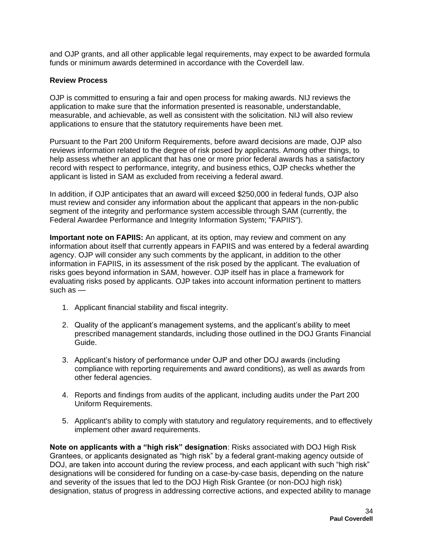and OJP grants, and all other applicable legal requirements, may expect to be awarded formula funds or minimum awards determined in accordance with the Coverdell law.

#### <span id="page-33-0"></span>**Review Process**

OJP is committed to ensuring a fair and open process for making awards. NIJ reviews the application to make sure that the information presented is reasonable, understandable, measurable, and achievable, as well as consistent with the solicitation. NIJ will also review applications to ensure that the statutory requirements have been met.

Pursuant to the Part 200 Uniform Requirements, before award decisions are made, OJP also reviews information related to the degree of risk posed by applicants. Among other things, to help assess whether an applicant that has one or more prior federal awards has a satisfactory record with respect to performance, integrity, and business ethics, OJP checks whether the applicant is listed in SAM as excluded from receiving a federal award.

In addition, if OJP anticipates that an award will exceed \$250,000 in federal funds, OJP also must review and consider any information about the applicant that appears in the non-public segment of the integrity and performance system accessible through SAM (currently, the Federal Awardee Performance and Integrity Information System; "FAPIIS").

**Important note on FAPIIS:** An applicant, at its option, may review and comment on any information about itself that currently appears in FAPIIS and was entered by a federal awarding agency. OJP will consider any such comments by the applicant, in addition to the other information in FAPIIS, in its assessment of the risk posed by the applicant. The evaluation of risks goes beyond information in SAM, however. OJP itself has in place a framework for evaluating risks posed by applicants. OJP takes into account information pertinent to matters such as —

- 1. Applicant financial stability and fiscal integrity.
- 2. Quality of the applicant's management systems, and the applicant's ability to meet prescribed management standards, including those outlined in the DOJ Grants Financial Guide.
- 3. Applicant's history of performance under OJP and other DOJ awards (including compliance with reporting requirements and award conditions), as well as awards from other federal agencies.
- 4. Reports and findings from audits of the applicant, including audits under the Part 200 Uniform Requirements.
- 5. Applicant's ability to comply with statutory and regulatory requirements, and to effectively implement other award requirements.

**Note on applicants with a "high risk" designation**: Risks associated with DOJ High Risk Grantees, or applicants designated as "high risk" by a federal grant-making agency outside of DOJ, are taken into account during the review process, and each applicant with such "high risk" designations will be considered for funding on a case-by-case basis, depending on the nature and severity of the issues that led to the DOJ High Risk Grantee (or non-DOJ high risk) designation, status of progress in addressing corrective actions, and expected ability to manage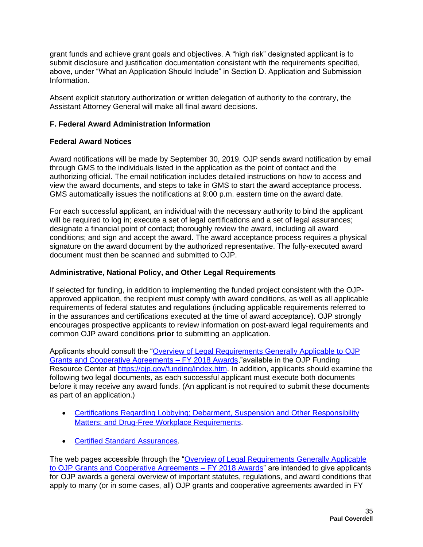grant funds and achieve grant goals and objectives. A "high risk" designated applicant is to submit disclosure and justification documentation consistent with the requirements specified, above, under "What an Application Should Include" in Section D. Application and Submission Information.

Absent explicit statutory authorization or written delegation of authority to the contrary, the Assistant Attorney General will make all final award decisions.

## <span id="page-34-0"></span>**F. Federal Award Administration Information**

## <span id="page-34-1"></span>**Federal Award Notices**

Award notifications will be made by September 30, 2019. OJP sends award notification by email through GMS to the individuals listed in the application as the point of contact and the authorizing official. The email notification includes detailed instructions on how to access and view the award documents, and steps to take in GMS to start the award acceptance process. GMS automatically issues the notifications at 9:00 p.m. eastern time on the award date.

For each successful applicant, an individual with the necessary authority to bind the applicant will be required to log in; execute a set of legal certifications and a set of legal assurances; designate a financial point of contact; thoroughly review the award, including all award conditions; and sign and accept the award. The award acceptance process requires a physical signature on the award document by the authorized representative. The fully-executed award document must then be scanned and submitted to OJP.

## <span id="page-34-2"></span>**Administrative, National Policy, and Other Legal Requirements**

If selected for funding, in addition to implementing the funded project consistent with the OJPapproved application, the recipient must comply with award conditions, as well as all applicable requirements of federal statutes and regulations (including applicable requirements referred to in the assurances and certifications executed at the time of award acceptance). OJP strongly encourages prospective applicants to review information on post-award legal requirements and common OJP award conditions **prior** to submitting an application.

Applicants should consult the ["Overview of Legal Requirements Generally Applicable to OJP](https://ojp.gov/funding/Explore/LegalOverview/index.htm)  [Grants and Cooperative Agreements – FY 2018 Awards,](https://ojp.gov/funding/Explore/LegalOverview/index.htm)"available in the OJP Funding Resource Center at [https://ojp.gov/funding/index.htm.](https://ojp.gov/funding/index.htm) In addition, applicants should examine the following two legal documents, as each successful applicant must execute both documents before it may receive any award funds. (An applicant is not required to submit these documents as part of an application.)

- [Certifications Regarding Lobbying; Debarment, Suspension and Other Responsibility](https://ojp.gov/funding/Apply/Resources/Certifications.pdf)  [Matters; and Drug-Free Workplace Requirements.](https://ojp.gov/funding/Apply/Resources/Certifications.pdf)
- [Certified Standard Assurances.](https://ojp.gov/funding/Apply/Resources/StandardAssurances.pdf)

The web pages accessible through the ["Overview of Legal Requirements Generally Applicable](https://ojp.gov/funding/Explore/LegalOverview/index.htm)  [to OJP Grants and Cooperative Agreements – FY 2018 Awards"](https://ojp.gov/funding/Explore/LegalOverview/index.htm) are intended to give applicants for OJP awards a general overview of important statutes, regulations, and award conditions that apply to many (or in some cases, all) OJP grants and cooperative agreements awarded in FY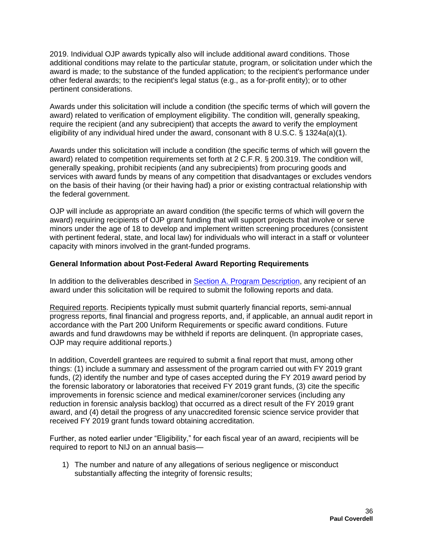2019. Individual OJP awards typically also will include additional award conditions. Those additional conditions may relate to the particular statute, program, or solicitation under which the award is made; to the substance of the funded application; to the recipient's performance under other federal awards; to the recipient's legal status (e.g., as a for-profit entity); or to other pertinent considerations.

Awards under this solicitation will include a condition (the specific terms of which will govern the award) related to verification of employment eligibility. The condition will, generally speaking, require the recipient (and any subrecipient) that accepts the award to verify the employment eligibility of any individual hired under the award, consonant with 8 U.S.C. § 1324a(a)(1).

Awards under this solicitation will include a condition (the specific terms of which will govern the award) related to competition requirements set forth at 2 C.F.R. § 200.319. The condition will, generally speaking, prohibit recipients (and any subrecipients) from procuring goods and services with award funds by means of any competition that disadvantages or excludes vendors on the basis of their having (or their having had) a prior or existing contractual relationship with the federal government.

OJP will include as appropriate an award condition (the specific terms of which will govern the award) requiring recipients of OJP grant funding that will support projects that involve or serve minors under the age of 18 to develop and implement written screening procedures (consistent with pertinent federal, state, and local law) for individuals who will interact in a staff or volunteer capacity with minors involved in the grant-funded programs.

# <span id="page-35-0"></span>**General Information about Post-Federal Award Reporting Requirements**

In addition to the deliverables described in **Section A. Program Description**, any recipient of an award under this solicitation will be required to submit the following reports and data.

Required reports. Recipients typically must submit quarterly financial reports, semi-annual progress reports, final financial and progress reports, and, if applicable, an annual audit report in accordance with the Part 200 Uniform Requirements or specific award conditions. Future awards and fund drawdowns may be withheld if reports are delinquent. (In appropriate cases, OJP may require additional reports.)

In addition, Coverdell grantees are required to submit a final report that must, among other things: (1) include a summary and assessment of the program carried out with FY 2019 grant funds, (2) identify the number and type of cases accepted during the FY 2019 award period by the forensic laboratory or laboratories that received FY 2019 grant funds, (3) cite the specific improvements in forensic science and medical examiner/coroner services (including any reduction in forensic analysis backlog) that occurred as a direct result of the FY 2019 grant award, and (4) detail the progress of any unaccredited forensic science service provider that received FY 2019 grant funds toward obtaining accreditation.

Further, as noted earlier under "Eligibility," for each fiscal year of an award, recipients will be required to report to NIJ on an annual basis—

1) The number and nature of any allegations of serious negligence or misconduct substantially affecting the integrity of forensic results;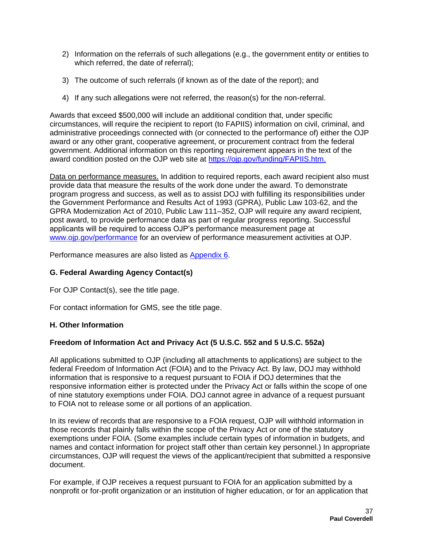- 2) Information on the referrals of such allegations (e.g., the government entity or entities to which referred, the date of referral);
- 3) The outcome of such referrals (if known as of the date of the report); and
- 4) If any such allegations were not referred, the reason(s) for the non-referral.

Awards that exceed \$500,000 will include an additional condition that, under specific circumstances, will require the recipient to report (to FAPIIS) information on civil, criminal, and administrative proceedings connected with (or connected to the performance of) either the OJP award or any other grant, cooperative agreement, or procurement contract from the federal government. Additional information on this reporting requirement appears in the text of the award condition posted on the OJP web site at [https://ojp.gov/funding/FAPIIS.htm.](https://ojp.gov/funding/FAPIIS.htm)

Data on performance measures. In addition to required reports, each award recipient also must provide data that measure the results of the work done under the award. To demonstrate program progress and success, as well as to assist DOJ with fulfilling its responsibilities under the Government Performance and Results Act of 1993 (GPRA), Public Law 103-62, and the GPRA Modernization Act of 2010, Public Law 111–352, OJP will require any award recipient, post award, to provide performance data as part of regular progress reporting. Successful applicants will be required to access OJP's performance measurement page at [www.ojp.gov/performance](https://www.ojp.gov/performance) for an overview of performance measurement activities at OJP.

Performance measures are also listed as [Appendix 6.](#page-51-1)

# <span id="page-36-0"></span>**G. Federal Awarding Agency Contact(s)**

For OJP Contact(s), see the title page.

For contact information for GMS, see the title page.

# <span id="page-36-1"></span>**H. Other Information**

# <span id="page-36-2"></span>**Freedom of Information Act and Privacy Act (5 U.S.C. 552 and 5 U.S.C. 552a)**

All applications submitted to OJP (including all attachments to applications) are subject to the federal Freedom of Information Act (FOIA) and to the Privacy Act. By law, DOJ may withhold information that is responsive to a request pursuant to FOIA if DOJ determines that the responsive information either is protected under the Privacy Act or falls within the scope of one of nine statutory exemptions under FOIA. DOJ cannot agree in advance of a request pursuant to FOIA not to release some or all portions of an application.

In its review of records that are responsive to a FOIA request, OJP will withhold information in those records that plainly falls within the scope of the Privacy Act or one of the statutory exemptions under FOIA. (Some examples include certain types of information in budgets, and names and contact information for project staff other than certain key personnel.) In appropriate circumstances, OJP will request the views of the applicant/recipient that submitted a responsive document.

For example, if OJP receives a request pursuant to FOIA for an application submitted by a nonprofit or for-profit organization or an institution of higher education, or for an application that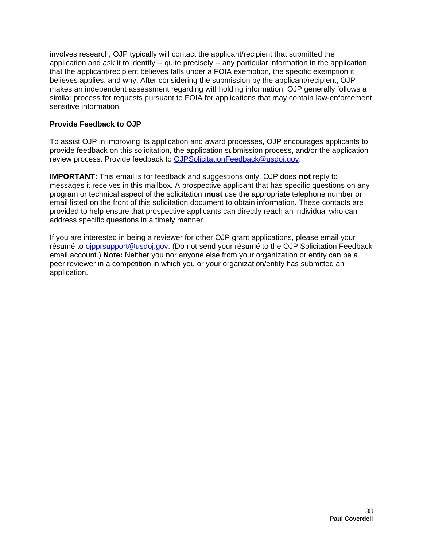involves research, OJP typically will contact the applicant/recipient that submitted the application and ask it to identify -- quite precisely -- any particular information in the application that the applicant/recipient believes falls under a FOIA exemption, the specific exemption it believes applies, and why. After considering the submission by the applicant/recipient, OJP makes an independent assessment regarding withholding information. OJP generally follows a similar process for requests pursuant to FOIA for applications that may contain law-enforcement sensitive information.

# <span id="page-37-0"></span>**Provide Feedback to OJP**

To assist OJP in improving its application and award processes, OJP encourages applicants to provide feedback on this solicitation, the application submission process, and/or the application review process. Provide feedback to [OJPSolicitationFeedback@usdoj.gov.](mailto:OJPSolicitationFeedback@usdoj.gov)

**IMPORTANT:** This email is for feedback and suggestions only. OJP does **not** reply to messages it receives in this mailbox. A prospective applicant that has specific questions on any program or technical aspect of the solicitation **must** use the appropriate telephone number or email listed on the front of this solicitation document to obtain information. These contacts are provided to help ensure that prospective applicants can directly reach an individual who can address specific questions in a timely manner.

<span id="page-37-1"></span>If you are interested in being a reviewer for other OJP grant applications, please email your résumé to *ojpprsupport@usdoj.gov.* (Do not send your résumé to the OJP Solicitation Feedback email account.) **Note:** Neither you nor anyone else from your organization or entity can be a peer reviewer in a competition in which you or your organization/entity has submitted an application.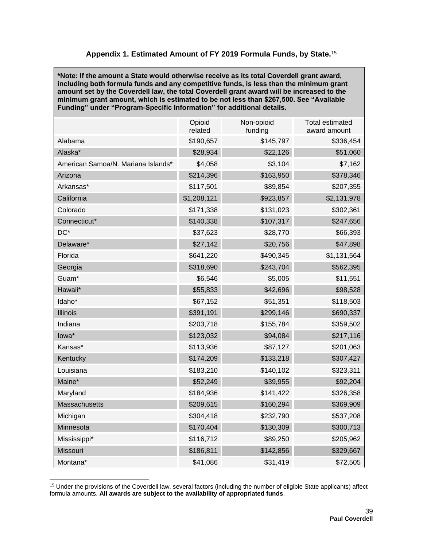# **Appendix 1. Estimated Amount of FY 2019 Formula Funds, by State.**<sup>15</sup>

<span id="page-38-0"></span>**\*Note: If the amount a State would otherwise receive as its total Coverdell grant award, including both formula funds and any competitive funds, is less than the minimum grant amount set by the Coverdell law, the total Coverdell grant award will be increased to the minimum grant amount, which is estimated to be not less than \$267,500. See "Available Funding" under "Program-Specific Information" for additional details.** 

|                                    | Opioid<br>related | Non-opioid<br>funding | <b>Total estimated</b><br>award amount |
|------------------------------------|-------------------|-----------------------|----------------------------------------|
| Alabama                            | \$190,657         | \$145,797             | \$336,454                              |
| Alaska*                            | \$28,934          | \$22,126              | \$51,060                               |
| American Samoa/N. Mariana Islands* | \$4,058           | \$3,104               | \$7,162                                |
| Arizona                            | \$214,396         | \$163,950             | \$378,346                              |
| Arkansas*                          | \$117,501         | \$89,854              | \$207,355                              |
| California                         | \$1,208,121       | \$923,857             | \$2,131,978                            |
| Colorado                           | \$171,338         | \$131,023             | \$302,361                              |
| Connecticut*                       | \$140,338         | \$107,317             | \$247,656                              |
| $DC^*$                             | \$37,623          | \$28,770              | \$66,393                               |
| Delaware*                          | \$27,142          | \$20,756              | \$47,898                               |
| Florida                            | \$641,220         | \$490,345             | \$1,131,564                            |
| Georgia                            | \$318,690         | \$243,704             | \$562,395                              |
| Guam*                              | \$6,546           | \$5,005               | \$11,551                               |
| Hawaii*                            | \$55,833          | \$42,696              | \$98,528                               |
| Idaho*                             | \$67,152          | \$51,351              | \$118,503                              |
| <b>Illinois</b>                    | \$391,191         | \$299,146             | \$690,337                              |
| Indiana                            | \$203,718         | \$155,784             | \$359,502                              |
| lowa*                              | \$123,032         | \$94,084              | \$217,116                              |
| Kansas*                            | \$113,936         | \$87,127              | \$201,063                              |
| Kentucky                           | \$174,209         | \$133,218             | \$307,427                              |
| Louisiana                          | \$183,210         | \$140,102             | \$323,311                              |
| Maine*                             | \$52,249          | \$39,955              | \$92,204                               |
| Maryland                           | \$184,936         | \$141,422             | \$326,358                              |
| Massachusetts                      | \$209,615         | \$160,294             | \$369,909                              |
| Michigan                           | \$304,418         | \$232,790             | \$537,208                              |
| Minnesota                          | \$170,404         | \$130,309             | \$300,713                              |
| Mississippi*                       | \$116,712         | \$89,250              | \$205,962                              |
| Missouri                           | \$186,811         | \$142,856             | \$329,667                              |
| Montana*                           | \$41,086          | \$31,419              | \$72,505                               |

<sup>&</sup>lt;sup>15</sup> Under the provisions of the Coverdell law, several factors (including the number of eligible State applicants) affect formula amounts. **All awards are subject to the availability of appropriated funds**.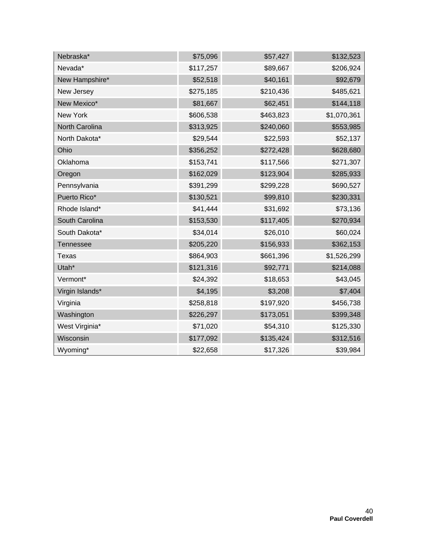<span id="page-39-0"></span>

| Nebraska*        | \$75,096  | \$57,427  | \$132,523   |
|------------------|-----------|-----------|-------------|
| Nevada*          | \$117,257 | \$89,667  | \$206,924   |
| New Hampshire*   | \$52,518  | \$40,161  | \$92,679    |
| New Jersey       | \$275,185 | \$210,436 | \$485,621   |
| New Mexico*      | \$81,667  | \$62,451  | \$144,118   |
| New York         | \$606,538 | \$463,823 | \$1,070,361 |
| North Carolina   | \$313,925 | \$240,060 | \$553,985   |
| North Dakota*    | \$29,544  | \$22,593  | \$52,137    |
| Ohio             | \$356,252 | \$272,428 | \$628,680   |
| Oklahoma         | \$153,741 | \$117,566 | \$271,307   |
| Oregon           | \$162,029 | \$123,904 | \$285,933   |
| Pennsylvania     | \$391,299 | \$299,228 | \$690,527   |
| Puerto Rico*     | \$130,521 | \$99,810  | \$230,331   |
| Rhode Island*    | \$41,444  | \$31,692  | \$73,136    |
| South Carolina   | \$153,530 | \$117,405 | \$270,934   |
| South Dakota*    | \$34,014  | \$26,010  | \$60,024    |
| <b>Tennessee</b> | \$205,220 | \$156,933 | \$362,153   |
| <b>Texas</b>     | \$864,903 | \$661,396 | \$1,526,299 |
| Utah*            | \$121,316 | \$92,771  | \$214,088   |
| Vermont*         | \$24,392  | \$18,653  | \$43,045    |
| Virgin Islands*  | \$4,195   | \$3,208   | \$7,404     |
| Virginia         | \$258,818 | \$197,920 | \$456,738   |
| Washington       | \$226,297 | \$173,051 | \$399,348   |
| West Virginia*   | \$71,020  | \$54,310  | \$125,330   |
| Wisconsin        | \$177,092 | \$135,424 | \$312,516   |
| Wyoming*         | \$22,658  | \$17,326  | \$39,984    |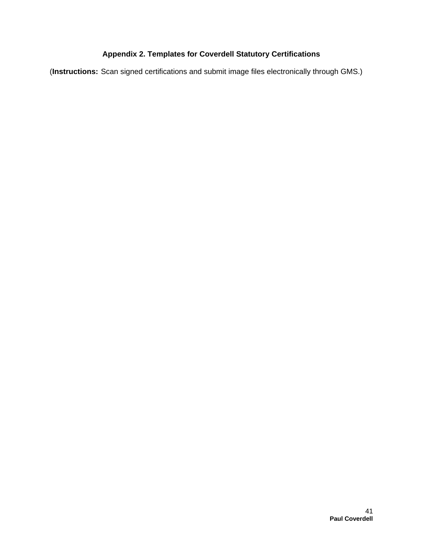# **Appendix 2. Templates for Coverdell Statutory Certifications**

(**Instructions:** Scan signed certifications and submit image files electronically through GMS.)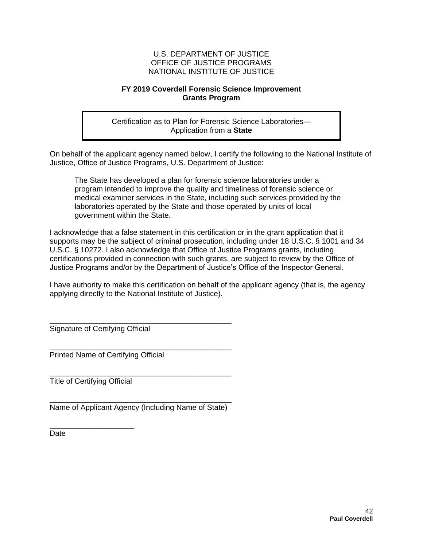## **FY 2019 Coverdell Forensic Science Improvement Grants Program**

Certification as to Plan for Forensic Science Laboratories— Application from a **State** 

On behalf of the applicant agency named below, I certify the following to the National Institute of Justice, Office of Justice Programs, U.S. Department of Justice:

The State has developed a plan for forensic science laboratories under a program intended to improve the quality and timeliness of forensic science or medical examiner services in the State, including such services provided by the laboratories operated by the State and those operated by units of local government within the State.

I acknowledge that a false statement in this certification or in the grant application that it supports may be the subject of criminal prosecution, including under 18 U.S.C. § 1001 and 34 U.S.C. § 10272. I also acknowledge that Office of Justice Programs grants, including certifications provided in connection with such grants, are subject to review by the Office of Justice Programs and/or by the Department of Justice's Office of the Inspector General.

I have authority to make this certification on behalf of the applicant agency (that is, the agency applying directly to the National Institute of Justice).

\_\_\_\_\_\_\_\_\_\_\_\_\_\_\_\_\_\_\_\_\_\_\_\_\_\_\_\_\_\_\_\_\_\_\_\_\_\_\_\_\_\_\_ Signature of Certifying Official

\_\_\_\_\_\_\_\_\_\_\_\_\_\_\_\_\_\_\_\_\_\_\_\_\_\_\_\_\_\_\_\_\_\_\_\_\_\_\_\_\_\_\_ Printed Name of Certifying Official

\_\_\_\_\_\_\_\_\_\_\_\_\_\_\_\_\_\_\_\_\_\_\_\_\_\_\_\_\_\_\_\_\_\_\_\_\_\_\_\_\_\_\_ Title of Certifying Official

\_\_\_\_\_\_\_\_\_\_\_\_\_\_\_\_\_\_\_\_

\_\_\_\_\_\_\_\_\_\_\_\_\_\_\_\_\_\_\_\_\_\_\_\_\_\_\_\_\_\_\_\_\_\_\_\_\_\_\_\_\_\_\_ Name of Applicant Agency (Including Name of State)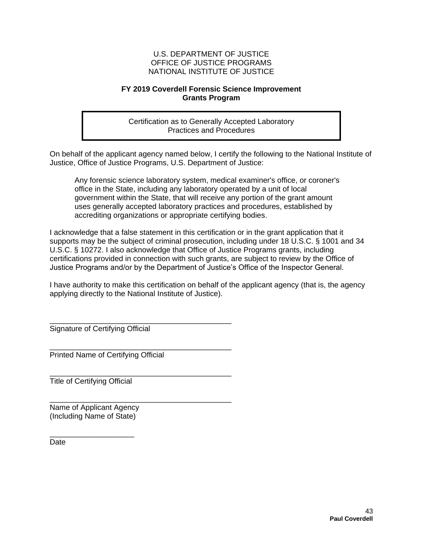## **FY 2019 Coverdell Forensic Science Improvement Grants Program**

Certification as to Generally Accepted Laboratory Practices and Procedures

On behalf of the applicant agency named below, I certify the following to the National Institute of Justice, Office of Justice Programs, U.S. Department of Justice:

Any forensic science laboratory system, medical examiner's office, or coroner's office in the State, including any laboratory operated by a unit of local government within the State, that will receive any portion of the grant amount uses generally accepted laboratory practices and procedures, established by accrediting organizations or appropriate certifying bodies.

I acknowledge that a false statement in this certification or in the grant application that it supports may be the subject of criminal prosecution, including under 18 U.S.C. § 1001 and 34 U.S.C. § 10272. I also acknowledge that Office of Justice Programs grants, including certifications provided in connection with such grants, are subject to review by the Office of Justice Programs and/or by the Department of Justice's Office of the Inspector General.

I have authority to make this certification on behalf of the applicant agency (that is, the agency applying directly to the National Institute of Justice).

\_\_\_\_\_\_\_\_\_\_\_\_\_\_\_\_\_\_\_\_\_\_\_\_\_\_\_\_\_\_\_\_\_\_\_\_\_\_\_\_\_\_\_ Signature of Certifying Official

\_\_\_\_\_\_\_\_\_\_\_\_\_\_\_\_\_\_\_\_\_\_\_\_\_\_\_\_\_\_\_\_\_\_\_\_\_\_\_\_\_\_\_ Printed Name of Certifying Official

\_\_\_\_\_\_\_\_\_\_\_\_\_\_\_\_\_\_\_\_\_\_\_\_\_\_\_\_\_\_\_\_\_\_\_\_\_\_\_\_\_\_\_

Title of Certifying Official

\_\_\_\_\_\_\_\_\_\_\_\_\_\_\_\_\_\_\_\_\_\_\_\_\_\_\_\_\_\_\_\_\_\_\_\_\_\_\_\_\_\_\_ Name of Applicant Agency (Including Name of State)

\_\_\_\_\_\_\_\_\_\_\_\_\_\_\_\_\_\_\_\_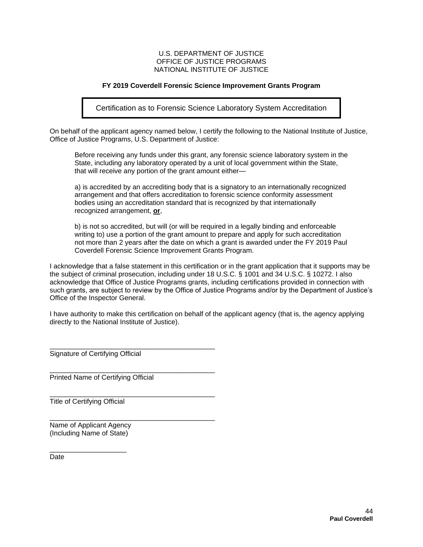#### **FY 2019 Coverdell Forensic Science Improvement Grants Program**

Certification as to Forensic Science Laboratory System Accreditation

On behalf of the applicant agency named below, I certify the following to the National Institute of Justice, Office of Justice Programs, U.S. Department of Justice:

Before receiving any funds under this grant, any forensic science laboratory system in the State, including any laboratory operated by a unit of local government within the State, that will receive any portion of the grant amount either—

a) is accredited by an accrediting body that is a signatory to an internationally recognized arrangement and that offers accreditation to forensic science conformity assessment bodies using an accreditation standard that is recognized by that internationally recognized arrangement, **or**,

b) is not so accredited, but will (or will be required in a legally binding and enforceable writing to) use a portion of the grant amount to prepare and apply for such accreditation not more than 2 years after the date on which a grant is awarded under the FY 2019 Paul Coverdell Forensic Science Improvement Grants Program.

I acknowledge that a false statement in this certification or in the grant application that it supports may be the subject of criminal prosecution, including under 18 U.S.C. § 1001 and 34 U.S.C. § 10272. I also acknowledge that Office of Justice Programs grants, including certifications provided in connection with such grants, are subject to review by the Office of Justice Programs and/or by the Department of Justice's Office of the Inspector General.

I have authority to make this certification on behalf of the applicant agency (that is, the agency applying directly to the National Institute of Justice).

Signature of Certifying Official

\_\_\_\_\_\_\_\_\_\_\_\_\_\_\_\_\_\_\_\_\_\_\_\_\_\_\_\_\_\_\_\_\_\_\_\_\_\_\_\_\_\_\_ Printed Name of Certifying Official

\_\_\_\_\_\_\_\_\_\_\_\_\_\_\_\_\_\_\_\_\_\_\_\_\_\_\_\_\_\_\_\_\_\_\_\_\_\_\_\_\_\_\_

\_\_\_\_\_\_\_\_\_\_\_\_\_\_\_\_\_\_\_\_\_\_\_\_\_\_\_\_\_\_\_\_\_\_\_\_\_\_\_\_\_\_\_

\_\_\_\_\_\_\_\_\_\_\_\_\_\_\_\_\_\_\_\_\_\_\_\_\_\_\_\_\_\_\_\_\_\_\_\_\_\_\_\_\_\_\_

Title of Certifying Official

Name of Applicant Agency (Including Name of State)

\_\_\_\_\_\_\_\_\_\_\_\_\_\_\_\_\_\_\_\_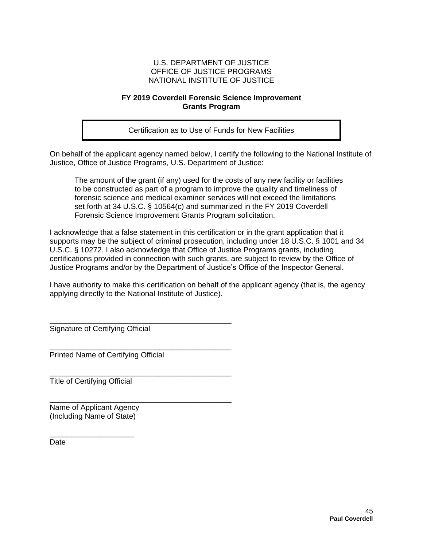# **FY 2019 Coverdell Forensic Science Improvement Grants Program**

Certification as to Use of Funds for New Facilities

On behalf of the applicant agency named below, I certify the following to the National Institute of Justice, Office of Justice Programs, U.S. Department of Justice:

The amount of the grant (if any) used for the costs of any new facility or facilities to be constructed as part of a program to improve the quality and timeliness of forensic science and medical examiner services will not exceed the limitations set forth at 34 U.S.C. § 10564(c) and summarized in the FY 2019 Coverdell Forensic Science Improvement Grants Program solicitation.

I acknowledge that a false statement in this certification or in the grant application that it supports may be the subject of criminal prosecution, including under 18 U.S.C. § 1001 and 34 U.S.C. § 10272. I also acknowledge that Office of Justice Programs grants, including certifications provided in connection with such grants, are subject to review by the Office of Justice Programs and/or by the Department of Justice's Office of the Inspector General.

I have authority to make this certification on behalf of the applicant agency (that is, the agency applying directly to the National Institute of Justice).

Signature of Certifying Official

\_\_\_\_\_\_\_\_\_\_\_\_\_\_\_\_\_\_\_\_\_\_\_\_\_\_\_\_\_\_\_\_\_\_\_\_\_\_\_\_\_\_\_ Printed Name of Certifying Official

\_\_\_\_\_\_\_\_\_\_\_\_\_\_\_\_\_\_\_\_\_\_\_\_\_\_\_\_\_\_\_\_\_\_\_\_\_\_\_\_\_\_\_

\_\_\_\_\_\_\_\_\_\_\_\_\_\_\_\_\_\_\_\_\_\_\_\_\_\_\_\_\_\_\_\_\_\_\_\_\_\_\_\_\_\_\_

\_\_\_\_\_\_\_\_\_\_\_\_\_\_\_\_\_\_\_\_\_\_\_\_\_\_\_\_\_\_\_\_\_\_\_\_\_\_\_\_\_\_\_

Title of Certifying Official

Name of Applicant Agency (Including Name of State)

\_\_\_\_\_\_\_\_\_\_\_\_\_\_\_\_\_\_\_\_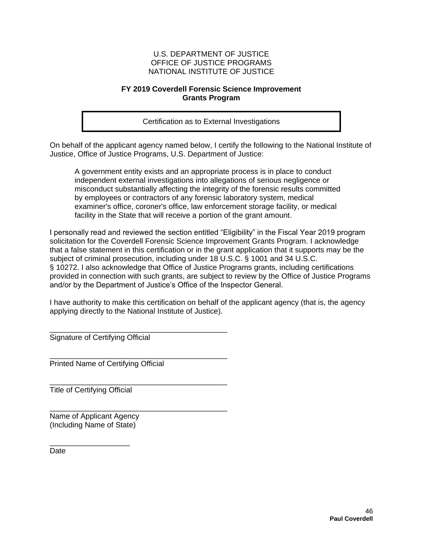#### **FY 2019 Coverdell Forensic Science Improvement Grants Program**

Certification as to External Investigations

On behalf of the applicant agency named below, I certify the following to the National Institute of Justice, Office of Justice Programs, U.S. Department of Justice:

A government entity exists and an appropriate process is in place to conduct independent external investigations into allegations of serious negligence or misconduct substantially affecting the integrity of the forensic results committed by employees or contractors of any forensic laboratory system, medical examiner's office, coroner's office, law enforcement storage facility, or medical facility in the State that will receive a portion of the grant amount.

I personally read and reviewed the section entitled "Eligibility" in the Fiscal Year 2019 program solicitation for the Coverdell Forensic Science Improvement Grants Program. I acknowledge that a false statement in this certification or in the grant application that it supports may be the subject of criminal prosecution, including under 18 U.S.C. § 1001 and 34 U.S.C. § 10272. I also acknowledge that Office of Justice Programs grants, including certifications provided in connection with such grants, are subject to review by the Office of Justice Programs and/or by the Department of Justice's Office of the Inspector General.

I have authority to make this certification on behalf of the applicant agency (that is, the agency applying directly to the National Institute of Justice).

\_\_\_\_\_\_\_\_\_\_\_\_\_\_\_\_\_\_\_\_\_\_\_\_\_\_\_\_\_\_\_\_\_\_\_\_\_\_\_\_\_\_ Signature of Certifying Official

Printed Name of Certifying Official

\_\_\_\_\_\_\_\_\_\_\_\_\_\_\_\_\_\_\_\_\_\_\_\_\_\_\_\_\_\_\_\_\_\_\_\_\_\_\_\_\_\_

\_\_\_\_\_\_\_\_\_\_\_\_\_\_\_\_\_\_\_\_\_\_\_\_\_\_\_\_\_\_\_\_\_\_\_\_\_\_\_\_\_\_

\_\_\_\_\_\_\_\_\_\_\_\_\_\_\_\_\_\_\_\_\_\_\_\_\_\_\_\_\_\_\_\_\_\_\_\_\_\_\_\_\_\_

Title of Certifying Official

Name of Applicant Agency (Including Name of State)

\_\_\_\_\_\_\_\_\_\_\_\_\_\_\_\_\_\_\_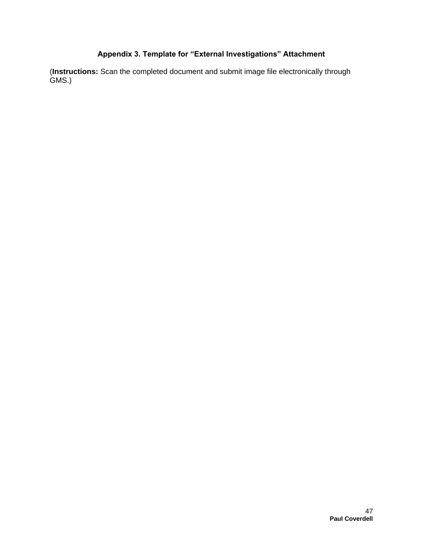# **Appendix 3. Template for "External Investigations" Attachment**

<span id="page-46-0"></span>(**Instructions:** Scan the completed document and submit image file electronically through GMS.)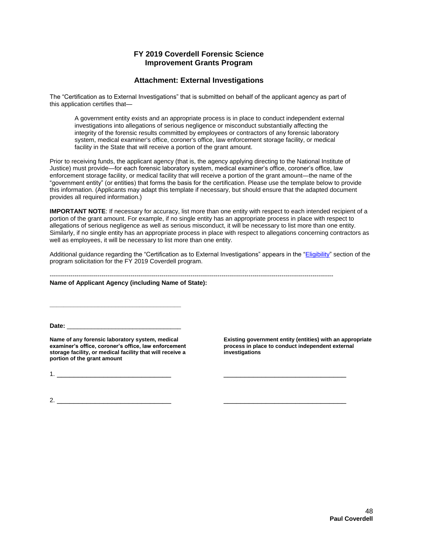#### **FY 2019 Coverdell Forensic Science Improvement Grants Program**

#### **Attachment: External Investigations**

The "Certification as to External Investigations" that is submitted on behalf of the applicant agency as part of this application certifies that—

A government entity exists and an appropriate process is in place to conduct independent external investigations into allegations of serious negligence or misconduct substantially affecting the integrity of the forensic results committed by employees or contractors of any forensic laboratory system, medical examiner's office, coroner's office, law enforcement storage facility, or medical facility in the State that will receive a portion of the grant amount.

Prior to receiving funds, the applicant agency (that is, the agency applying directing to the National Institute of Justice) must provide—for each forensic laboratory system, medical examiner's office, coroner's office, law enforcement storage facility, or medical facility that will receive a portion of the grant amount—the name of the "government entity" (or entities) that forms the basis for the certification. Please use the template below to provide this information. (Applicants may adapt this template if necessary, but should ensure that the adapted document provides all required information.)

**IMPORTANT NOTE**: If necessary for accuracy, list more than one entity with respect to each intended recipient of a portion of the grant amount. For example, if no single entity has an appropriate process in place with respect to allegations of serious negligence as well as serious misconduct, it will be necessary to list more than one entity. Similarly, if no single entity has an appropriate process in place with respect to allegations concerning contractors as well as employees, it will be necessary to list more than one entity.

Additional guidance regarding the "Certification as to External Investigations" appears in the ["Eligibility"](#page-11-0) section of the program solicitation for the FY 2019 Coverdell program.

-----------------------------------------------------------------------------------------------------------------------------------------

**Name of Applicant Agency (including Name of State):** 

**Date:** \_\_\_\_\_\_\_\_\_\_\_\_\_\_\_\_\_\_\_\_\_\_\_\_\_\_\_\_\_\_\_\_\_

**Name of any forensic laboratory system, medical examiner's office, coroner's office, law enforcement storage facility, or medical facility that will receive a portion of the grant amount** 

**\_\_\_\_\_\_\_\_\_\_\_\_\_\_\_\_\_\_\_\_\_\_\_\_\_\_\_\_\_\_\_\_\_\_\_\_\_\_**

1. \_\_\_\_\_\_\_\_\_\_\_\_\_\_\_\_\_\_\_\_\_\_\_\_\_\_\_

**Existing government entity (entities) with an appropriate process in place to conduct independent external investigations** 

\_\_\_\_\_\_\_\_\_\_\_\_\_\_\_\_\_\_\_\_\_\_\_\_\_\_\_\_\_

\_\_\_\_\_\_\_\_\_\_\_\_\_\_\_\_\_\_\_\_\_\_\_\_\_\_\_\_\_

2.  $\frac{1}{2}$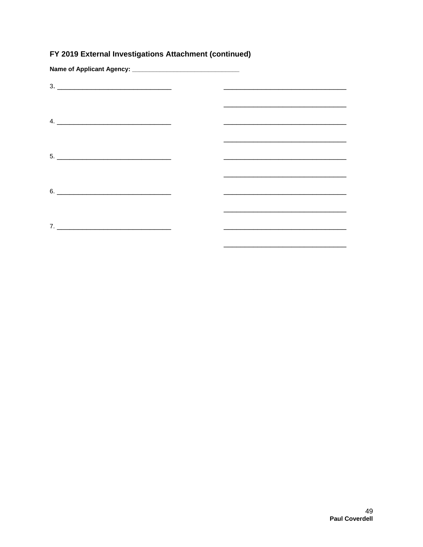# FY 2019 External Investigations Attachment (continued)

<span id="page-48-0"></span>

|                                                                                                                                                                                                                                                                                                                                                            | <u> 1980 - Jan James James Jan James James James James James James James James James James James James James Jam</u> |
|------------------------------------------------------------------------------------------------------------------------------------------------------------------------------------------------------------------------------------------------------------------------------------------------------------------------------------------------------------|----------------------------------------------------------------------------------------------------------------------|
| $6. \begin{tabular}{ c c c c } \hline \rule{0.2cm}{.01cm} \rule{0.2cm}{.01cm} \rule{0.2cm}{.01cm} \rule{0.2cm}{.01cm} \rule{0.2cm}{.01cm} \rule{0.2cm}{.01cm} \rule{0.2cm}{.01cm} \rule{0.2cm}{.01cm} \rule{0.2cm}{.01cm} \rule{0.2cm}{.01cm} \rule{0.2cm}{.01cm} \rule{0.2cm}{.01cm} \rule{0.2cm}{.01cm} \rule{0.2cm}{.01cm} \rule{0.2cm}{.01cm} \rule{0$ |                                                                                                                      |
|                                                                                                                                                                                                                                                                                                                                                            |                                                                                                                      |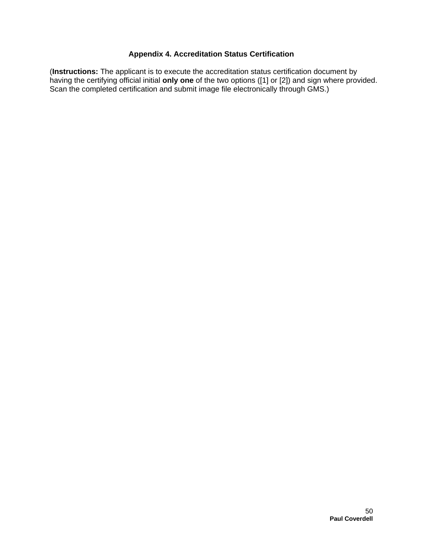# **Appendix 4. Accreditation Status Certification**

<span id="page-49-0"></span>(**Instructions:** The applicant is to execute the accreditation status certification document by having the certifying official initial **only one** of the two options ([1] or [2]) and sign where provided. Scan the completed certification and submit image file electronically through GMS.)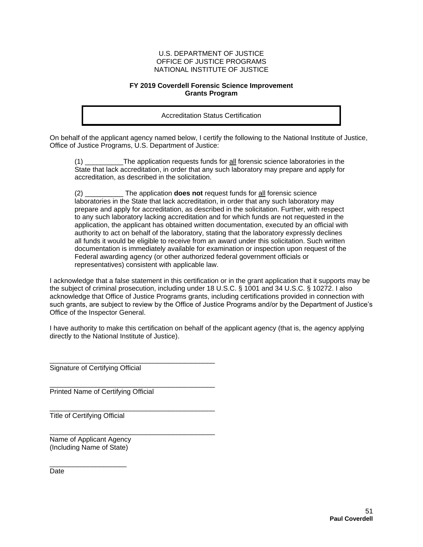#### **FY 2019 Coverdell Forensic Science Improvement Grants Program**

Accreditation Status Certification

On behalf of the applicant agency named below, I certify the following to the National Institute of Justice, Office of Justice Programs, U.S. Department of Justice:

(1) \_\_\_\_\_\_\_\_\_\_The application requests funds for all forensic science laboratories in the State that lack accreditation, in order that any such laboratory may prepare and apply for accreditation, as described in the solicitation.

(2) \_\_\_\_\_\_\_\_\_\_ The application **does not** request funds for all forensic science laboratories in the State that lack accreditation, in order that any such laboratory may prepare and apply for accreditation, as described in the solicitation. Further, with respect to any such laboratory lacking accreditation and for which funds are not requested in the application, the applicant has obtained written documentation, executed by an official with authority to act on behalf of the laboratory, stating that the laboratory expressly declines all funds it would be eligible to receive from an award under this solicitation. Such written documentation is immediately available for examination or inspection upon request of the Federal awarding agency (or other authorized federal government officials or representatives) consistent with applicable law.

I acknowledge that a false statement in this certification or in the grant application that it supports may be the subject of criminal prosecution, including under 18 U.S.C. § 1001 and 34 U.S.C. § 10272. I also acknowledge that Office of Justice Programs grants, including certifications provided in connection with such grants, are subject to review by the Office of Justice Programs and/or by the Department of Justice's Office of the Inspector General.

I have authority to make this certification on behalf of the applicant agency (that is, the agency applying directly to the National Institute of Justice).

\_\_\_\_\_\_\_\_\_\_\_\_\_\_\_\_\_\_\_\_\_\_\_\_\_\_\_\_\_\_\_\_\_\_\_\_\_\_\_\_\_\_\_ Signature of Certifying Official

\_\_\_\_\_\_\_\_\_\_\_\_\_\_\_\_\_\_\_\_\_\_\_\_\_\_\_\_\_\_\_\_\_\_\_\_\_\_\_\_\_\_\_ Printed Name of Certifying Official

\_\_\_\_\_\_\_\_\_\_\_\_\_\_\_\_\_\_\_\_\_\_\_\_\_\_\_\_\_\_\_\_\_\_\_\_\_\_\_\_\_\_\_ Title of Certifying Official

\_\_\_\_\_\_\_\_\_\_\_\_\_\_\_\_\_\_\_\_\_\_\_\_\_\_\_\_\_\_\_\_\_\_\_\_\_\_\_\_\_\_\_ Name of Applicant Agency (Including Name of State)

\_\_\_\_\_\_\_\_\_\_\_\_\_\_\_\_\_\_\_\_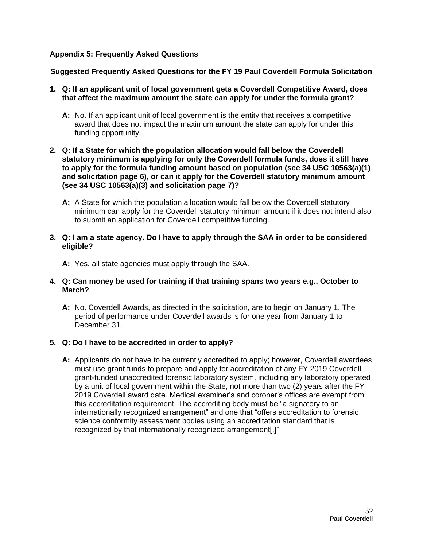## <span id="page-51-0"></span>**Appendix 5: Frequently Asked Questions**

## **Suggested Frequently Asked Questions for the FY 19 Paul Coverdell Formula Solicitation**

- **1. Q: If an applicant unit of local government gets a Coverdell Competitive Award, does that affect the maximum amount the state can apply for under the formula grant?** 
	- **A:** No. If an applicant unit of local government is the entity that receives a competitive award that does not impact the maximum amount the state can apply for under this funding opportunity.

#### **2. Q: If a State for which the population allocation would fall below the Coverdell statutory minimum is applying for only the Coverdell formula funds, does it still have to apply for the formula funding amount based on population (see 34 USC 10563(a)(1) and solicitation page 6), or can it apply for the Coverdell statutory minimum amount (see 34 USC 10563(a)(3) and solicitation page 7)?**

- **A:** A State for which the population allocation would fall below the Coverdell statutory minimum can apply for the Coverdell statutory minimum amount if it does not intend also to submit an application for Coverdell competitive funding.
- **3. Q: I am a state agency. Do I have to apply through the SAA in order to be considered eligible?**

**A:** Yes, all state agencies must apply through the SAA.

- **4. Q: Can money be used for training if that training spans two years e.g., October to March?** 
	- **A:** No. Coverdell Awards, as directed in the solicitation, are to begin on January 1. The period of performance under Coverdell awards is for one year from January 1 to December 31.

#### **5. Q: Do I have to be accredited in order to apply?**

<span id="page-51-1"></span>**A:** Applicants do not have to be currently accredited to apply; however, Coverdell awardees must use grant funds to prepare and apply for accreditation of any FY 2019 Coverdell grant-funded unaccredited forensic laboratory system, including any laboratory operated by a unit of local government within the State, not more than two (2) years after the FY 2019 Coverdell award date. Medical examiner's and coroner's offices are exempt from this accreditation requirement. The accrediting body must be "a signatory to an internationally recognized arrangement" and one that "offers accreditation to forensic science conformity assessment bodies using an accreditation standard that is recognized by that internationally recognized arrangement[.]"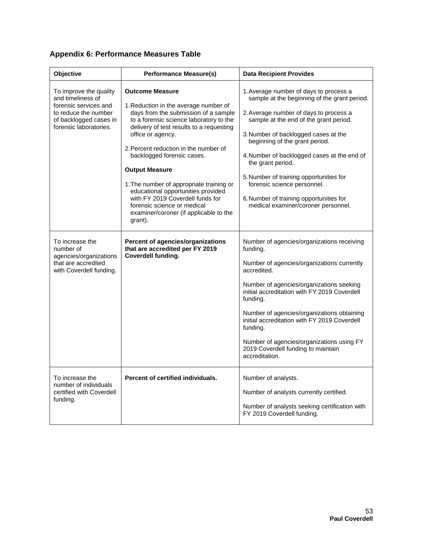# <span id="page-52-0"></span>**Appendix 6: Performance Measures Table**

| Objective                                                                                                                                        | <b>Performance Measure(s)</b>                                                                                                                                                                                                                                                                                                                                                                                                                                                                                                 | <b>Data Recipient Provides</b>                                                                                                                                                                                                                                                                                                                                                                                                                                                       |
|--------------------------------------------------------------------------------------------------------------------------------------------------|-------------------------------------------------------------------------------------------------------------------------------------------------------------------------------------------------------------------------------------------------------------------------------------------------------------------------------------------------------------------------------------------------------------------------------------------------------------------------------------------------------------------------------|--------------------------------------------------------------------------------------------------------------------------------------------------------------------------------------------------------------------------------------------------------------------------------------------------------------------------------------------------------------------------------------------------------------------------------------------------------------------------------------|
| To improve the quality<br>and timeliness of<br>forensic services and<br>to reduce the number<br>of backlogged cases in<br>forensic laboratories. | <b>Outcome Measure</b><br>1. Reduction in the average number of<br>days from the submission of a sample<br>to a forensic science laboratory to the<br>delivery of test results to a requesting<br>office or agency.<br>2. Percent reduction in the number of<br>backlogged forensic cases.<br><b>Output Measure</b><br>1. The number of appropriate training or<br>educational opportunities provided<br>with FY 2019 Coverdell funds for<br>forensic science or medical<br>examiner/coroner (if applicable to the<br>grant). | 1. Average number of days to process a<br>sample at the beginning of the grant period.<br>2. Average number of days to process a<br>sample at the end of the grant period.<br>3. Number of backlogged cases at the<br>beginning of the grant period.<br>4. Number of backlogged cases at the end of<br>the grant period.<br>5. Number of training opportunities for<br>forensic science personnel.<br>6. Number of training opportunities for<br>medical examiner/coroner personnel. |
| To increase the<br>number of<br>agencies/organizations<br>that are accredited<br>with Coverdell funding.                                         | <b>Percent of agencies/organizations</b><br>that are accredited per FY 2019<br>Coverdell funding.                                                                                                                                                                                                                                                                                                                                                                                                                             | Number of agencies/organizations receiving<br>funding.<br>Number of agencies/organizations currently<br>accredited.<br>Number of agencies/organizations seeking<br>initial accreditation with FY 2019 Coverdell<br>funding.<br>Number of agencies/organizations obtaining<br>initial accreditation with FY 2019 Coverdell<br>funding.<br>Number of agencies/organizations using FY<br>2019 Coverdell funding to maintain<br>accreditation.                                           |
| To increase the<br>number of individuals<br>certified with Coverdell<br>funding.                                                                 | Percent of certified individuals.                                                                                                                                                                                                                                                                                                                                                                                                                                                                                             | Number of analysts.<br>Number of analysts currently certified.<br>Number of analysts seeking certification with<br>FY 2019 Coverdell funding.                                                                                                                                                                                                                                                                                                                                        |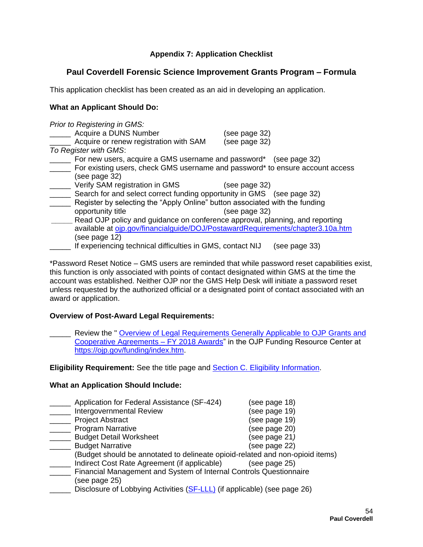# **Appendix 7: Application Checklist**

# <span id="page-53-0"></span>**Paul Coverdell Forensic Science Improvement Grants Program – Formula**

This application checklist has been created as an aid in developing an application.

#### **What an Applicant Should Do:**

*Prior to Registering in GMS:* Acquire a DUNS Number (see page 32) Acquire or renew registration with SAM (see page 32) *To Register with GMS*: \_\_\_\_\_ For new users, acquire a GMS username and password\* (see page 32) For existing users, check GMS username and password\* to ensure account access (see page 32) \_\_\_\_\_ Verify SAM registration in GMS (see page 32) \_\_\_\_\_ Search for and select correct funding opportunity in GMS (see page 32) Register by selecting the "Apply Online" button associated with the funding opportunity title (see page 32) *\_\_\_\_\_* Read OJP policy and guidance on conference approval, planning, and reporting available at [ojp.gov/financialguide/DOJ/PostawardRequirements/chapter3.10a.htm](https://ojp.gov/financialguide/DOJ/PostawardRequirements/chapter3.10a.htm) (see page 12) If experiencing technical difficulties in GMS, contact NIJ (see page 33)

\*Password Reset Notice – GMS users are reminded that while password reset capabilities exist, this function is only associated with points of contact designated within GMS at the time the account was established. Neither OJP nor the GMS Help Desk will initiate a password reset unless requested by the authorized official or a designated point of contact associated with an award or application.

#### **Overview of Post-Award Legal Requirements:**

Review the " Overview of Legal Requirements Generally Applicable to OJP Grants and Cooperative Agreements – FY 2018 Awards" in the OJP Funding Resource Center at [https://ojp.gov/funding/index.htm.](https://ojp.gov/funding/index.htm)

**Eligibility Requirement:** See the title page and **Section C. Eligibility Information**.

#### **What an Application Should Include:**

| Application for Federal Assistance (SF-424)                                   | (see page 18) |
|-------------------------------------------------------------------------------|---------------|
| Intergovernmental Review                                                      | (see page 19) |
| <b>Project Abstract</b>                                                       | (see page 19) |
| <b>Program Narrative</b>                                                      | (see page 20) |
| <b>Budget Detail Worksheet</b>                                                | (see page 21) |
| <b>Budget Narrative</b>                                                       | (see page 22) |
| (Budget should be annotated to delineate opioid-related and non-opioid items) |               |
| Indirect Cost Rate Agreement (if applicable)                                  | (see page 25) |
| Financial Management and System of Internal Controls Questionnaire            |               |
| (see page 25)                                                                 |               |
| Disclosure of Lobbying Activities (SF-LLL) (if applicable) (see page 26)      |               |